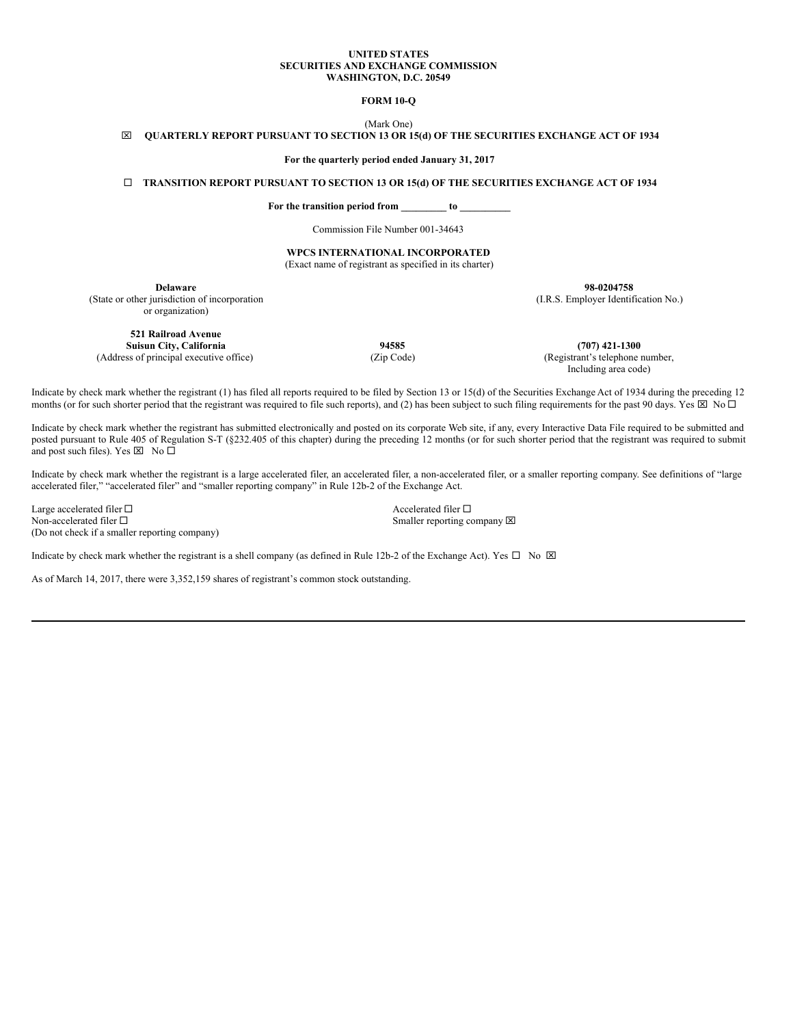### **UNITED STATES SECURITIES AND EXCHANGE COMMISSION WASHINGTON, D.C. 20549**

# **FORM 10-Q**

#### (Mark One) x **QUARTERLY REPORT PURSUANT TO SECTION 13 OR 15(d) OF THE SECURITIES EXCHANGE ACT OF 1934**

## **For the quarterly period ended January 31, 2017**

¨ **TRANSITION REPORT PURSUANT TO SECTION 13 OR 15(d) OF THE SECURITIES EXCHANGE ACT OF 1934**

**For the transition period from \_\_\_\_\_\_\_\_\_ to \_\_\_\_\_\_\_\_\_\_**

Commission File Number 001-34643

**WPCS INTERNATIONAL INCORPORATED**

(Exact name of registrant as specified in its charter)

(State or other jurisdiction of incorporation (I.R.S. Employer Identification No.) or organization)

**521 Railroad Avenue Suisun City, California 94585 (707) 421-1300**

(Address of principal executive office) (Zip Code) (Registrant's telephone number,

Including area code)

Indicate by check mark whether the registrant (1) has filed all reports required to be filed by Section 13 or 15(d) of the Securities Exchange Act of 1934 during the preceding 12 months (or for such shorter period that the registrant was required to file such reports), and (2) has been subject to such filing requirements for the past 90 days. Yes  $\boxtimes$  No  $\Box$ 

Indicate by check mark whether the registrant has submitted electronically and posted on its corporate Web site, if any, every Interactive Data File required to be submitted and posted pursuant to Rule 405 of Regulation S-T (§232.405 of this chapter) during the preceding 12 months (or for such shorter period that the registrant was required to submit and post such files). Yes  $\boxtimes$  No  $\square$ 

Indicate by check mark whether the registrant is a large accelerated filer, an accelerated filer, a non-accelerated filer, or a smaller reporting company. See definitions of "large accelerated filer," "accelerated filer" and "smaller reporting company" in Rule 12b-2 of the Exchange Act.

Large accelerated filer  $\square$ <br>
Non-accelerated filer  $\square$ <br>
Non-accelerated filer  $\square$ (Do not check if a smaller reporting company)

Smaller reporting company  $\boxtimes$ 

Indicate by check mark whether the registrant is a shell company (as defined in Rule 12b-2 of the Exchange Act). Yes  $\Box$  No  $\boxtimes$ 

As of March 14, 2017, there were 3,352,159 shares of registrant's common stock outstanding.

**Delaware 98-0204758**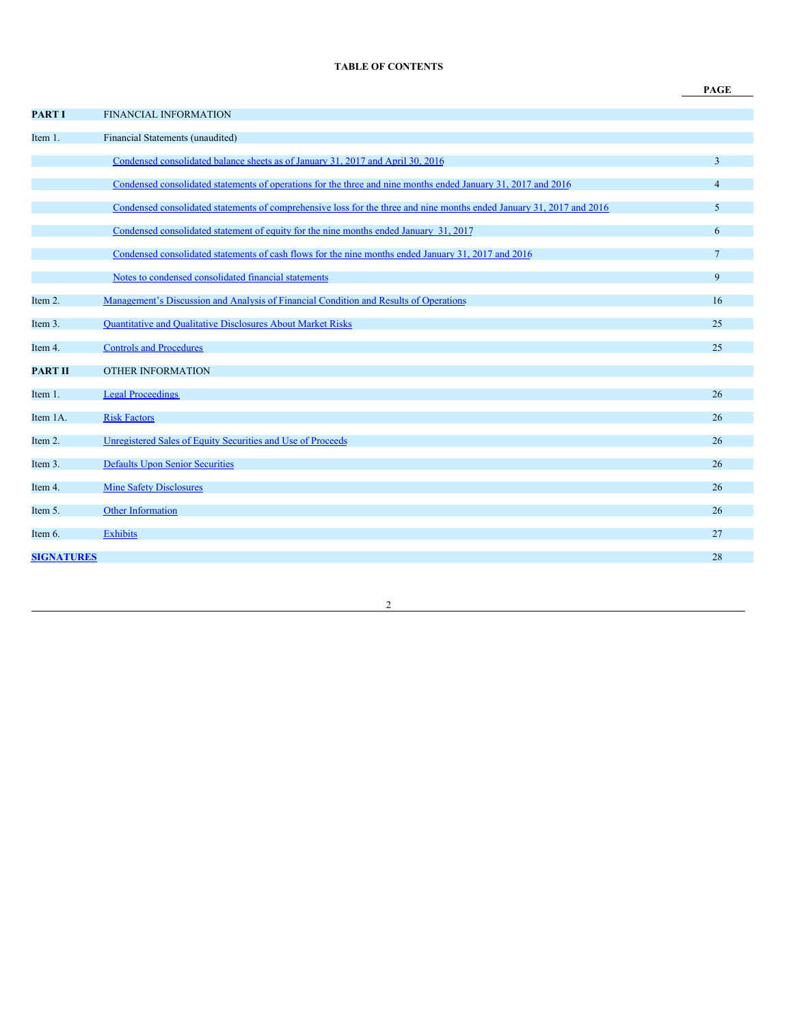# **TABLE OF CONTENTS**

**PAGE**

| <b>PARTI</b>      | <b>FINANCIAL INFORMATION</b>                                                                                          |                |
|-------------------|-----------------------------------------------------------------------------------------------------------------------|----------------|
| Item 1.           | Financial Statements (unaudited)                                                                                      |                |
|                   |                                                                                                                       |                |
|                   | Condensed consolidated balance sheets as of January 31, 2017 and April 30, 2016                                       | 3              |
|                   | Condensed consolidated statements of operations for the three and nine months ended January 31, 2017 and 2016         | $\overline{4}$ |
|                   |                                                                                                                       |                |
|                   | Condensed consolidated statements of comprehensive loss for the three and nine months ended January 31, 2017 and 2016 | 5              |
|                   |                                                                                                                       |                |
|                   | Condensed consolidated statement of equity for the nine months ended January 31, 2017                                 | 6              |
|                   | Condensed consolidated statements of cash flows for the nine months ended January 31, 2017 and 2016                   | $\overline{7}$ |
|                   |                                                                                                                       |                |
|                   | Notes to condensed consolidated financial statements                                                                  | 9              |
| Item 2.           | Management's Discussion and Analysis of Financial Condition and Results of Operations                                 | 16             |
|                   |                                                                                                                       |                |
| Item 3.           | <b>Ouantitative and Qualitative Disclosures About Market Risks</b>                                                    | 25             |
| Item 4.           | <b>Controls and Procedures</b>                                                                                        | 25             |
|                   |                                                                                                                       |                |
| <b>PART II</b>    | <b>OTHER INFORMATION</b>                                                                                              |                |
| Item 1.           | <b>Legal Proceedings</b>                                                                                              | 26             |
|                   |                                                                                                                       |                |
| Item 1A.          | <b>Risk Factors</b>                                                                                                   | 26             |
| Item 2.           | Unregistered Sales of Equity Securities and Use of Proceeds                                                           | 26             |
|                   |                                                                                                                       |                |
| Item 3.           | <b>Defaults Upon Senior Securities</b>                                                                                | 26             |
|                   |                                                                                                                       |                |
| Item 4.           | <b>Mine Safety Disclosures</b>                                                                                        | 26             |
| Item 5.           | Other Information                                                                                                     | 26             |
|                   |                                                                                                                       |                |
| Item 6.           | <b>Exhibits</b>                                                                                                       | 27             |
| <b>SIGNATURES</b> |                                                                                                                       | 28             |
|                   |                                                                                                                       |                |

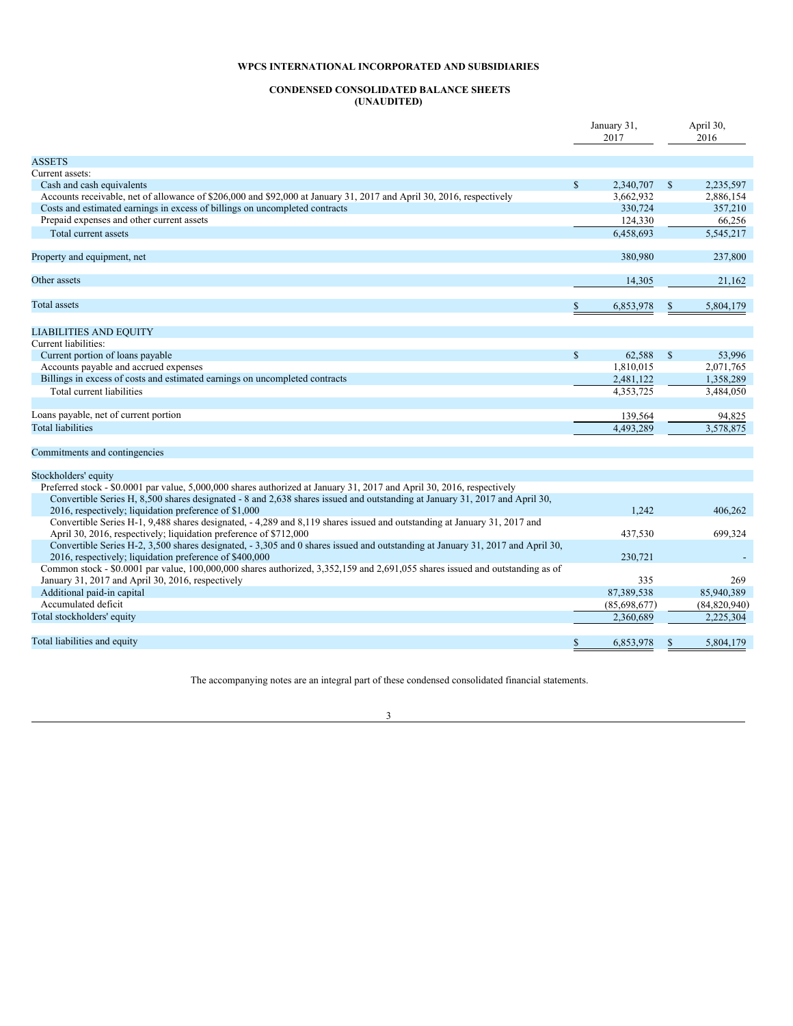### <span id="page-2-0"></span>**CONDENSED CONSOLIDATED BALANCE SHEETS (UNAUDITED)**

|                                                                                                                                                                                           |              | January 31,<br>2017 |              | April 30,<br>2016 |
|-------------------------------------------------------------------------------------------------------------------------------------------------------------------------------------------|--------------|---------------------|--------------|-------------------|
| <b>ASSETS</b>                                                                                                                                                                             |              |                     |              |                   |
| Current assets:                                                                                                                                                                           |              |                     |              |                   |
| Cash and cash equivalents                                                                                                                                                                 | \$           | 2,340,707           | $\mathbb{S}$ | 2,235,597         |
| Accounts receivable, net of allowance of \$206,000 and \$92,000 at January 31, 2017 and April 30, 2016, respectively                                                                      |              | 3,662,932           |              | 2,886,154         |
| Costs and estimated earnings in excess of billings on uncompleted contracts                                                                                                               |              | 330,724             |              | 357,210           |
| Prepaid expenses and other current assets                                                                                                                                                 |              | 124,330             |              | 66,256            |
| Total current assets                                                                                                                                                                      |              | 6.458.693           |              | 5,545,217         |
| Property and equipment, net                                                                                                                                                               |              | 380,980             |              | 237,800           |
| Other assets                                                                                                                                                                              |              | 14,305              |              | 21,162            |
|                                                                                                                                                                                           |              |                     |              |                   |
| <b>Total assets</b>                                                                                                                                                                       | \$           | 6,853,978           | \$           | 5,804,179         |
| <b>LIABILITIES AND EQUITY</b>                                                                                                                                                             |              |                     |              |                   |
| Current liabilities:                                                                                                                                                                      |              |                     |              |                   |
| Current portion of loans payable                                                                                                                                                          | $\mathbb{S}$ | 62.588              | S            | 53,996            |
| Accounts payable and accrued expenses                                                                                                                                                     |              | 1,810,015           |              | 2,071,765         |
| Billings in excess of costs and estimated earnings on uncompleted contracts                                                                                                               |              | 2,481,122           |              | 1,358,289         |
| Total current liabilities                                                                                                                                                                 |              | 4,353,725           |              | 3,484,050         |
| Loans payable, net of current portion                                                                                                                                                     |              | 139,564             |              | 94,825            |
| <b>Total liabilities</b>                                                                                                                                                                  |              | 4,493,289           |              | 3,578,875         |
|                                                                                                                                                                                           |              |                     |              |                   |
| Commitments and contingencies                                                                                                                                                             |              |                     |              |                   |
| Stockholders' equity                                                                                                                                                                      |              |                     |              |                   |
| Preferred stock - \$0.0001 par value, 5,000,000 shares authorized at January 31, 2017 and April 30, 2016, respectively                                                                    |              |                     |              |                   |
| Convertible Series H, 8,500 shares designated - 8 and 2,638 shares issued and outstanding at January 31, 2017 and April 30,<br>2016, respectively; liquidation preference of \$1,000      |              | 1,242               |              | 406,262           |
| Convertible Series H-1, 9,488 shares designated, - 4,289 and 8,119 shares issued and outstanding at January 31, 2017 and                                                                  |              |                     |              |                   |
| April 30, 2016, respectively; liquidation preference of \$712,000                                                                                                                         |              | 437,530             |              | 699,324           |
| Convertible Series H-2, 3,500 shares designated, - 3,305 and 0 shares issued and outstanding at January 31, 2017 and April 30,<br>2016, respectively; liquidation preference of \$400,000 |              | 230,721             |              |                   |
| Common stock - \$0.0001 par value, 100,000,000 shares authorized, 3,352,159 and 2,691,055 shares issued and outstanding as of<br>January 31, 2017 and April 30, 2016, respectively        |              | 335                 |              | 269               |
| Additional paid-in capital                                                                                                                                                                |              | 87,389,538          |              | 85,940,389        |
| Accumulated deficit                                                                                                                                                                       |              | (85,698,677)        |              | (84,820,940)      |
| Total stockholders' equity                                                                                                                                                                |              | 2,360,689           |              | 2,225,304         |
| Total liabilities and equity                                                                                                                                                              | \$           | 6,853,978           | \$           | 5.804.179         |
|                                                                                                                                                                                           |              |                     |              |                   |

The accompanying notes are an integral part of these condensed consolidated financial statements.

3

<u> 1980 - Johann Barn, mars ar breithinn ar chuid ann an t-Alban ann an t-Alban ann an t-Alban ann an t-Alban a</u>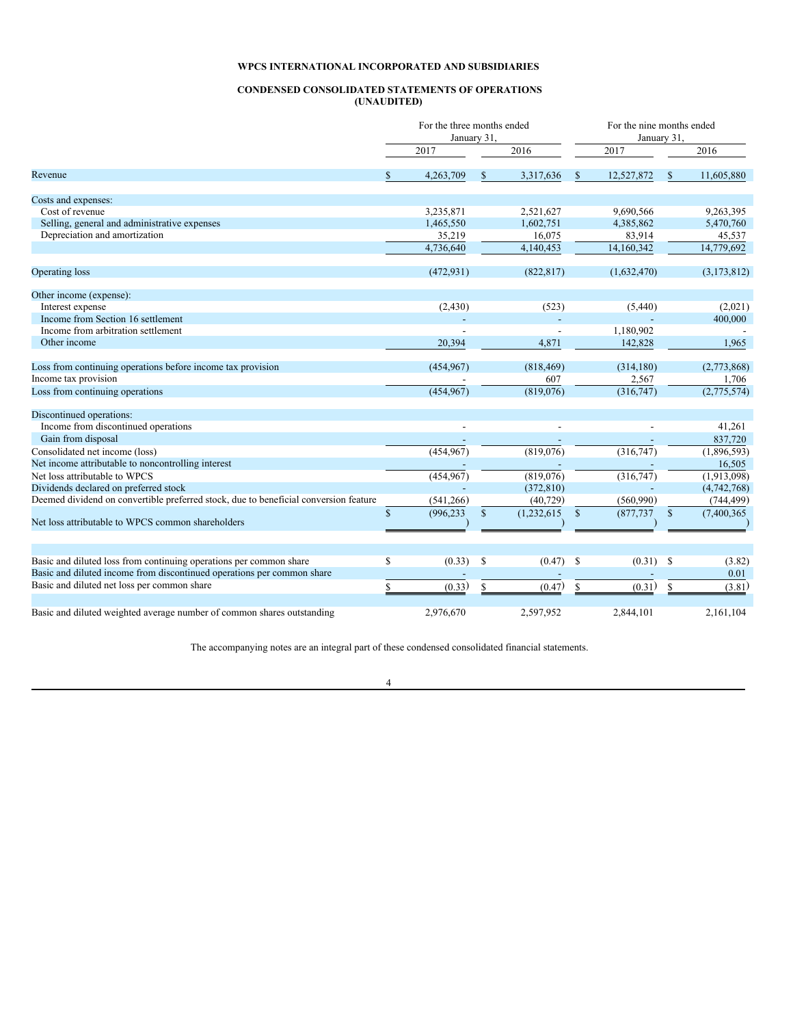# <span id="page-3-0"></span>**CONDENSED CONSOLIDATED STATEMENTS OF OPERATIONS (UNAUDITED)**

|                                                                                      | For the three months ended<br>January 31, |            |              |             |               | For the nine months ended<br>January 31, |              |             |  |
|--------------------------------------------------------------------------------------|-------------------------------------------|------------|--------------|-------------|---------------|------------------------------------------|--------------|-------------|--|
|                                                                                      |                                           | 2017       |              | 2016        |               | 2017                                     |              | 2016        |  |
| Revenue                                                                              | S.                                        | 4,263,709  | S            | 3,317,636   |               | 12,527,872                               | S            | 11,605,880  |  |
| Costs and expenses:                                                                  |                                           |            |              |             |               |                                          |              |             |  |
| Cost of revenue                                                                      |                                           | 3,235,871  |              | 2,521,627   |               | 9,690,566                                |              | 9,263,395   |  |
| Selling, general and administrative expenses                                         |                                           | 1,465,550  |              | 1,602,751   |               | 4,385,862                                |              | 5,470,760   |  |
| Depreciation and amortization                                                        |                                           | 35,219     |              | 16,075      |               | 83,914                                   |              | 45,537      |  |
|                                                                                      |                                           | 4,736,640  |              | 4,140,453   |               | 14,160,342                               |              | 14,779,692  |  |
| <b>Operating loss</b>                                                                |                                           | (472, 931) |              | (822, 817)  |               | (1,632,470)                              |              | (3,173,812) |  |
| Other income (expense):                                                              |                                           |            |              |             |               |                                          |              |             |  |
| Interest expense                                                                     |                                           | (2,430)    |              | (523)       |               | (5,440)                                  |              | (2,021)     |  |
| Income from Section 16 settlement                                                    |                                           |            |              |             |               |                                          |              | 400,000     |  |
| Income from arbitration settlement                                                   |                                           |            |              |             |               | 1,180,902                                |              |             |  |
| Other income                                                                         |                                           | 20,394     |              | 4,871       |               | 142,828                                  |              | 1,965       |  |
| Loss from continuing operations before income tax provision                          |                                           | (454, 967) |              | (818, 469)  |               | (314, 180)                               |              | (2,773,868) |  |
| Income tax provision                                                                 |                                           |            |              | 607         |               | 2,567                                    |              | 1,706       |  |
| Loss from continuing operations                                                      |                                           | (454, 967) |              | (819,076)   |               | (316,747)                                |              | (2,775,574) |  |
| Discontinued operations:                                                             |                                           |            |              |             |               |                                          |              |             |  |
| Income from discontinued operations                                                  |                                           |            |              |             |               |                                          |              | 41,261      |  |
| Gain from disposal                                                                   |                                           |            |              |             |               |                                          |              | 837,720     |  |
| Consolidated net income (loss)                                                       |                                           | (454, 967) |              | (819,076)   |               | (316, 747)                               |              | (1,896,593) |  |
| Net income attributable to noncontrolling interest                                   |                                           |            |              |             |               |                                          |              | 16,505      |  |
| Net loss attributable to WPCS                                                        |                                           | (454, 967) |              | (819,076)   |               | (316, 747)                               |              | (1,913,098) |  |
| Dividends declared on preferred stock                                                |                                           |            |              | (372, 810)  |               |                                          |              | (4,742,768) |  |
| Deemed dividend on convertible preferred stock, due to beneficial conversion feature |                                           | (541,266)  |              | (40, 729)   |               | (560, 990)                               |              | (744, 499)  |  |
| Net loss attributable to WPCS common shareholders                                    | \$                                        | (996, 233) | $\mathbb{S}$ | (1,232,615) | $\mathbf{\$}$ | (877, 737)                               | $\mathbb{S}$ | (7,400,365) |  |
|                                                                                      |                                           |            |              |             |               |                                          |              |             |  |
| Basic and diluted loss from continuing operations per common share                   | \$                                        | (0.33)     | \$           | (0.47)      | -S            | (0.31)                                   | -S           | (3.82)      |  |
| Basic and diluted income from discontinued operations per common share               |                                           |            |              |             |               |                                          |              | 0.01        |  |
| Basic and diluted net loss per common share                                          | \$                                        | (0.33)     | S            | (0.47)      | <sup>\$</sup> | (0.31)                                   | S            | (3.81)      |  |
| Basic and diluted weighted average number of common shares outstanding               |                                           | 2.976.670  |              | 2,597,952   |               | 2,844,101                                |              | 2.161.104   |  |

The accompanying notes are an integral part of these condensed consolidated financial statements.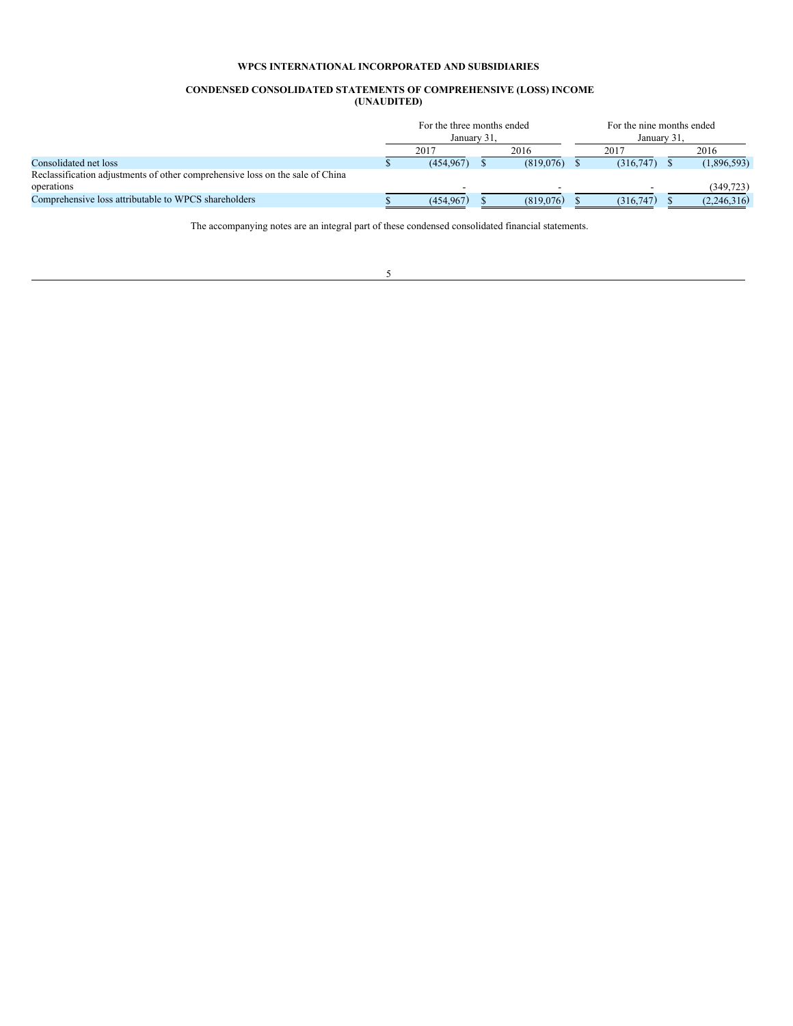### <span id="page-4-0"></span>**CONDENSED CONSOLIDATED STATEMENTS OF COMPREHENSIVE (LOSS) INCOME (UNAUDITED)**

|                                                                               | For the three months ended<br>January 31. |  |                | For the nine months ended<br>January 31. |           |  |             |  |
|-------------------------------------------------------------------------------|-------------------------------------------|--|----------------|------------------------------------------|-----------|--|-------------|--|
|                                                                               | 2017                                      |  | 2016           |                                          | 2017      |  | 2016        |  |
| Consolidated net loss                                                         | (454, 967)                                |  | $(819,076)$ \$ |                                          | (316,747) |  | (1,896,593) |  |
| Reclassification adjustments of other comprehensive loss on the sale of China |                                           |  |                |                                          |           |  |             |  |
| operations                                                                    |                                           |  |                |                                          |           |  | (349.723)   |  |
| Comprehensive loss attributable to WPCS shareholders                          | (454.967)                                 |  | (819.076)      |                                          | (316,747) |  | (2.246.316) |  |

The accompanying notes are an integral part of these condensed consolidated financial statements.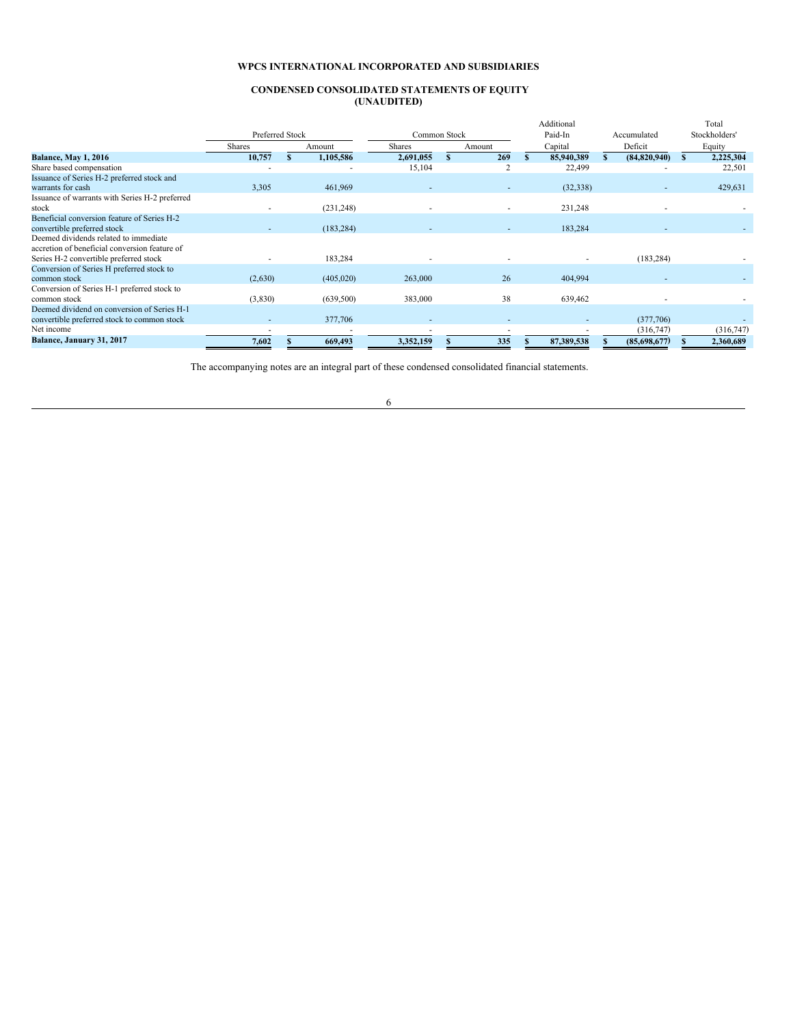### <span id="page-5-0"></span>**CONDENSED CONSOLIDATED STATEMENTS OF EQUITY (UNAUDITED)**

|                                                |                 |            |              |                          | Additional |              | Total         |
|------------------------------------------------|-----------------|------------|--------------|--------------------------|------------|--------------|---------------|
|                                                | Preferred Stock |            | Common Stock |                          | Paid-In    | Accumulated  | Stockholders' |
|                                                | Shares          | Amount     | Shares       | Amount                   | Capital    | Deficit      | Equity        |
| <b>Balance, May 1, 2016</b>                    | 10,757          | 1,105,586  | 2,691,055    | 269                      | 85,940,389 | (84,820,940) | 2,225,304     |
| Share based compensation                       |                 |            | 15,104       |                          | 22,499     |              | 22,501        |
| Issuance of Series H-2 preferred stock and     |                 |            |              |                          |            |              |               |
| warrants for cash                              | 3,305           | 461,969    |              | $\overline{\phantom{a}}$ | (32, 338)  | ٠            | 429,631       |
| Issuance of warrants with Series H-2 preferred |                 |            |              |                          |            |              |               |
| stock                                          |                 | (231, 248) |              |                          | 231,248    |              |               |
| Beneficial conversion feature of Series H-2    |                 |            |              |                          |            |              |               |
| convertible preferred stock                    |                 | (183, 284) |              |                          | 183,284    |              |               |
| Deemed dividends related to immediate          |                 |            |              |                          |            |              |               |
| accretion of beneficial conversion feature of  |                 |            |              |                          |            |              |               |
| Series H-2 convertible preferred stock         |                 | 183,284    |              |                          |            | (183, 284)   |               |
| Conversion of Series H preferred stock to      |                 |            |              |                          |            |              |               |
| common stock                                   | (2,630)         | (405, 020) | 263,000      | 26                       | 404,994    |              |               |
| Conversion of Series H-1 preferred stock to    |                 |            |              |                          |            |              |               |
| common stock                                   | (3,830)         | (639, 500) | 383,000      | 38                       | 639,462    |              |               |
| Deemed dividend on conversion of Series H-1    |                 |            |              |                          |            |              |               |
| convertible preferred stock to common stock    |                 | 377,706    |              |                          |            | (377,706)    |               |
| Net income                                     |                 |            |              |                          |            | (316,747)    | (316, 747)    |
| Balance, January 31, 2017                      | 7,602           | 669,493    | 3,352,159    | 335                      | 87,389,538 | (85,698,677) | 2,360,689     |

The accompanying notes are an integral part of these condensed consolidated financial statements.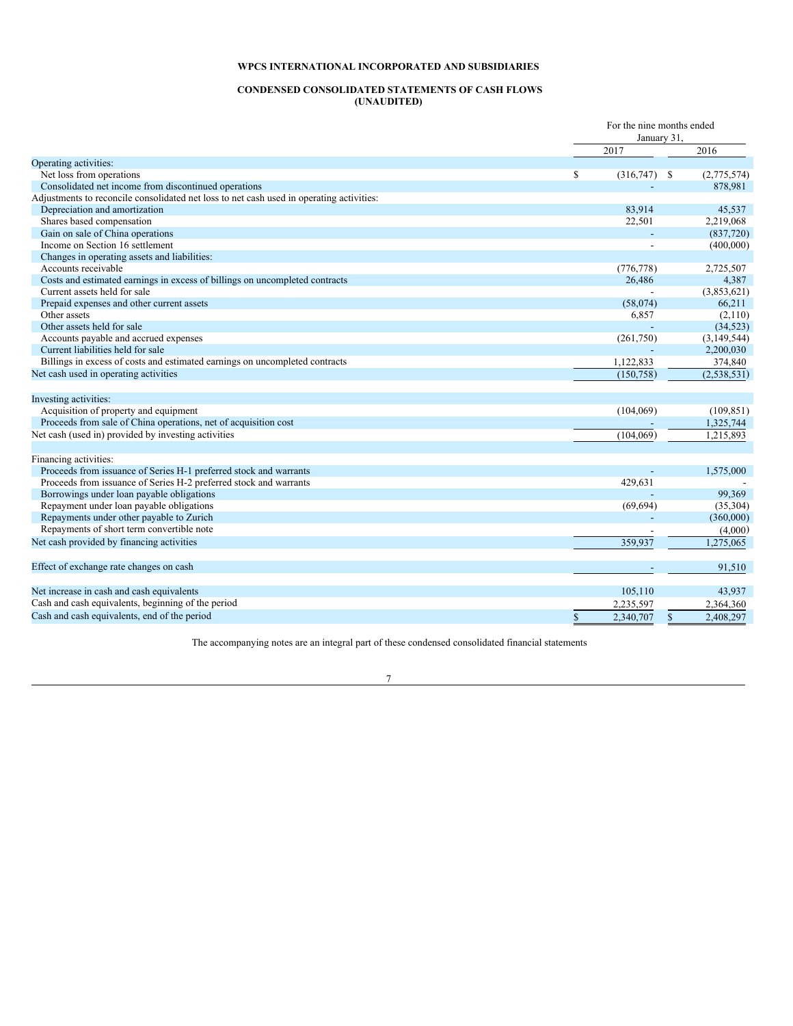#### <span id="page-6-0"></span>**CONDENSED CONSOLIDATED STATEMENTS OF CASH FLOWS (UNAUDITED)**

|                                                                                          | For the nine months ended<br>January 31. |             |               |
|------------------------------------------------------------------------------------------|------------------------------------------|-------------|---------------|
| 2017                                                                                     |                                          |             | 2016          |
| Operating activities:                                                                    |                                          |             |               |
| Net loss from operations<br>\$                                                           | (316,747)                                | -S          | (2,775,574)   |
| Consolidated net income from discontinued operations                                     |                                          |             | 878.981       |
| Adjustments to reconcile consolidated net loss to net cash used in operating activities: |                                          |             |               |
| Depreciation and amortization                                                            | 83,914                                   |             | 45,537        |
| Shares based compensation                                                                | 22,501                                   |             | 2,219,068     |
| Gain on sale of China operations                                                         |                                          |             | (837,720)     |
| Income on Section 16 settlement                                                          |                                          |             | (400,000)     |
| Changes in operating assets and liabilities:                                             |                                          |             |               |
| Accounts receivable                                                                      | (776, 778)                               |             | 2,725,507     |
| Costs and estimated earnings in excess of billings on uncompleted contracts              | 26,486                                   |             | 4,387         |
| Current assets held for sale                                                             |                                          |             | (3,853,621)   |
| Prepaid expenses and other current assets                                                | (58,074)                                 |             | 66,211        |
| Other assets                                                                             | 6,857                                    |             | (2,110)       |
| Other assets held for sale                                                               |                                          |             | (34, 523)     |
| Accounts payable and accrued expenses                                                    | (261,750)                                |             | (3, 149, 544) |
| Current liabilities held for sale                                                        |                                          |             | 2,200,030     |
| Billings in excess of costs and estimated earnings on uncompleted contracts              | 1,122,833                                |             | 374,840       |
| Net cash used in operating activities                                                    | (150, 758)                               |             | (2,538,531)   |
|                                                                                          |                                          |             |               |
| Investing activities:                                                                    |                                          |             |               |
| Acquisition of property and equipment                                                    | (104,069)                                |             | (109, 851)    |
| Proceeds from sale of China operations, net of acquisition cost                          |                                          |             | 1,325,744     |
| Net cash (used in) provided by investing activities                                      | (104.069)                                |             | 1.215.893     |
|                                                                                          |                                          |             |               |
| Financing activities:                                                                    |                                          |             |               |
| Proceeds from issuance of Series H-1 preferred stock and warrants                        |                                          |             | 1,575,000     |
| Proceeds from issuance of Series H-2 preferred stock and warrants                        | 429,631                                  |             |               |
| Borrowings under loan payable obligations                                                |                                          |             | 99,369        |
| Repayment under loan payable obligations                                                 | (69, 694)                                |             | (35, 304)     |
| Repayments under other payable to Zurich                                                 | $\overline{a}$                           |             | (360,000)     |
| Repayments of short term convertible note                                                |                                          |             | (4,000)       |
| Net cash provided by financing activities                                                | 359.937                                  |             | 1,275,065     |
|                                                                                          |                                          |             |               |
| Effect of exchange rate changes on cash                                                  |                                          |             | 91,510        |
| Net increase in cash and cash equivalents                                                | 105,110                                  |             | 43,937        |
| Cash and cash equivalents, beginning of the period                                       | 2,235,597                                |             | 2,364,360     |
| Cash and cash equivalents, end of the period<br>\$                                       | 2.340.707                                | $\mathbf S$ | 2,408,297     |

The accompanying notes are an integral part of these condensed consolidated financial statements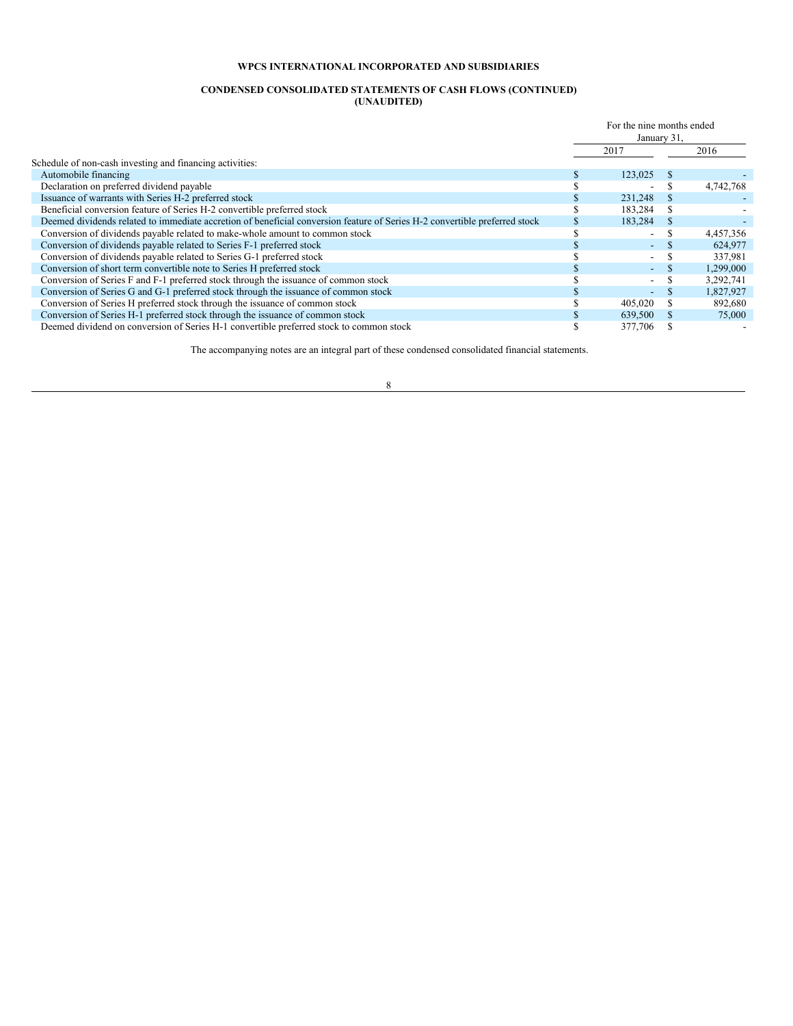#### **CONDENSED CONSOLIDATED STATEMENTS OF CASH FLOWS (CONTINUED) (UNAUDITED)**

|                                                                                                                            | For the nine months ended |                          |   |           |
|----------------------------------------------------------------------------------------------------------------------------|---------------------------|--------------------------|---|-----------|
|                                                                                                                            | January 31,               |                          |   |           |
|                                                                                                                            |                           | 2017                     |   | 2016      |
| Schedule of non-cash investing and financing activities:                                                                   |                           |                          |   |           |
| Automobile financing                                                                                                       |                           | 123,025                  |   |           |
| Declaration on preferred dividend payable                                                                                  |                           | $\overline{\phantom{a}}$ | S | 4,742,768 |
| Issuance of warrants with Series H-2 preferred stock                                                                       |                           | 231,248                  |   |           |
| Beneficial conversion feature of Series H-2 convertible preferred stock                                                    |                           | 183,284                  |   |           |
| Deemed dividends related to immediate accretion of beneficial conversion feature of Series H-2 convertible preferred stock |                           | 183,284                  |   |           |
| Conversion of dividends payable related to make-whole amount to common stock                                               |                           | $\overline{\phantom{a}}$ |   | 4,457,356 |
| Conversion of dividends payable related to Series F-1 preferred stock                                                      |                           | $\sim$                   |   | 624,977   |
| Conversion of dividends payable related to Series G-1 preferred stock                                                      |                           | $\overline{\phantom{a}}$ |   | 337,981   |
| Conversion of short term convertible note to Series H preferred stock                                                      |                           | $\sim$                   |   | 1,299,000 |
| Conversion of Series F and F-1 preferred stock through the issuance of common stock                                        |                           | $\overline{\phantom{a}}$ |   | 3,292,741 |
| Conversion of Series G and G-1 preferred stock through the issuance of common stock                                        |                           | $\overline{\phantom{a}}$ | S | 1,827,927 |
| Conversion of Series H preferred stock through the issuance of common stock                                                |                           | 405,020                  |   | 892,680   |
| Conversion of Series H-1 preferred stock through the issuance of common stock                                              |                           | 639,500                  |   | 75,000    |
| Deemed dividend on conversion of Series H-1 convertible preferred stock to common stock                                    |                           | 377,706                  |   |           |

The accompanying notes are an integral part of these condensed consolidated financial statements.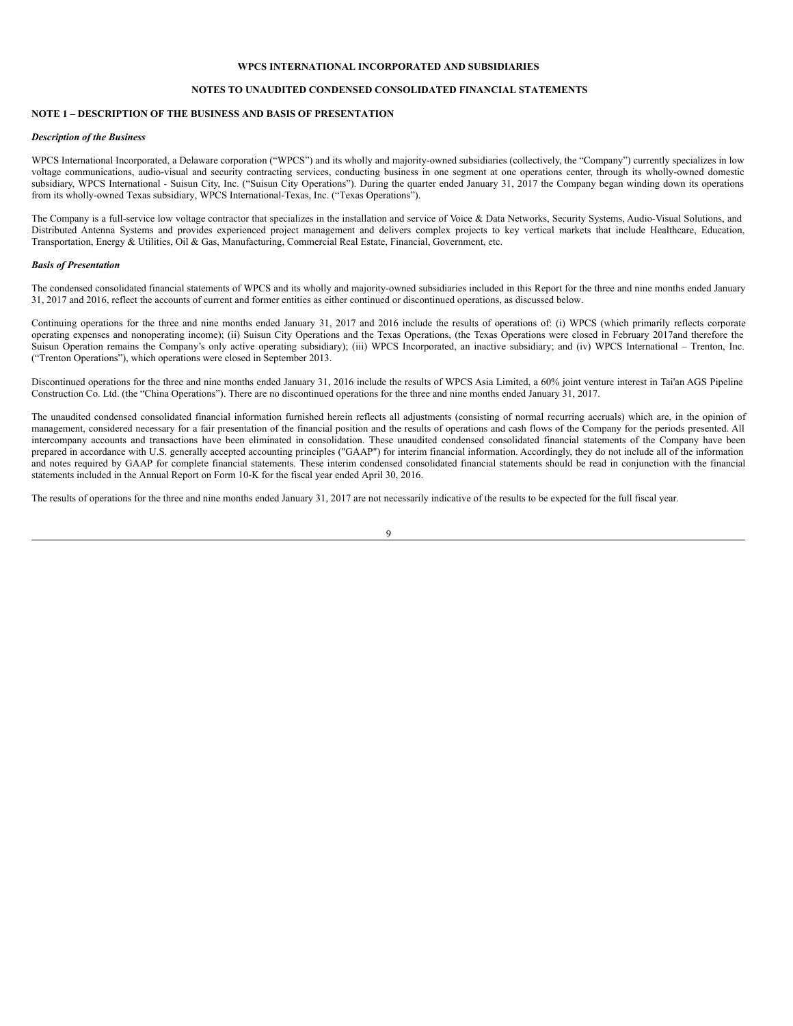# <span id="page-8-0"></span>**NOTES TO UNAUDITED CONDENSED CONSOLIDATED FINANCIAL STATEMENTS**

# **NOTE 1 – DESCRIPTION OF THE BUSINESS AND BASIS OF PRESENTATION**

### *Description of the Business*

WPCS International Incorporated, a Delaware corporation ("WPCS") and its wholly and majority-owned subsidiaries (collectively, the "Company") currently specializes in low voltage communications, audio-visual and security contracting services, conducting business in one segment at one operations center, through its wholly-owned domestic subsidiary, WPCS International - Suisun City, Inc. ("Suisun City Operations"). During the quarter ended January 31, 2017 the Company began winding down its operations from its wholly-owned Texas subsidiary, WPCS International-Texas, Inc. ("Texas Operations").

The Company is a full-service low voltage contractor that specializes in the installation and service of Voice & Data Networks, Security Systems, Audio-Visual Solutions, and Distributed Antenna Systems and provides experienced project management and delivers complex projects to key vertical markets that include Healthcare, Education, Transportation, Energy & Utilities, Oil & Gas, Manufacturing, Commercial Real Estate, Financial, Government, etc.

### *Basis of Presentation*

The condensed consolidated financial statements of WPCS and its wholly and majority-owned subsidiaries included in this Report for the three and nine months ended January 31, 2017 and 2016, reflect the accounts of current and former entities as either continued or discontinued operations, as discussed below.

Continuing operations for the three and nine months ended January 31, 2017 and 2016 include the results of operations of: (i) WPCS (which primarily reflects corporate operating expenses and nonoperating income); (ii) Suisun City Operations and the Texas Operations, (the Texas Operations were closed in February 2017and therefore the Suisun Operation remains the Company's only active operating subsidiary); (iii) WPCS Incorporated, an inactive subsidiary; and (iv) WPCS International – Trenton, Inc. ("Trenton Operations"), which operations were closed in September 2013.

Discontinued operations for the three and nine months ended January 31, 2016 include the results of WPCS Asia Limited, a 60% joint venture interest in Tai'an AGS Pipeline Construction Co. Ltd. (the "China Operations"). There are no discontinued operations for the three and nine months ended January 31, 2017.

The unaudited condensed consolidated financial information furnished herein reflects all adjustments (consisting of normal recurring accruals) which are, in the opinion of management, considered necessary for a fair presentation of the financial position and the results of operations and cash flows of the Company for the periods presented. All intercompany accounts and transactions have been eliminated in consolidation. These unaudited condensed consolidated financial statements of the Company have been prepared in accordance with U.S. generally accepted accounting principles ("GAAP") for interim financial information. Accordingly, they do not include all of the information and notes required by GAAP for complete financial statements. These interim condensed consolidated financial statements should be read in conjunction with the financial statements included in the Annual Report on Form 10-K for the fiscal year ended April 30, 2016.

The results of operations for the three and nine months ended January 31, 2017 are not necessarily indicative of the results to be expected for the full fiscal year.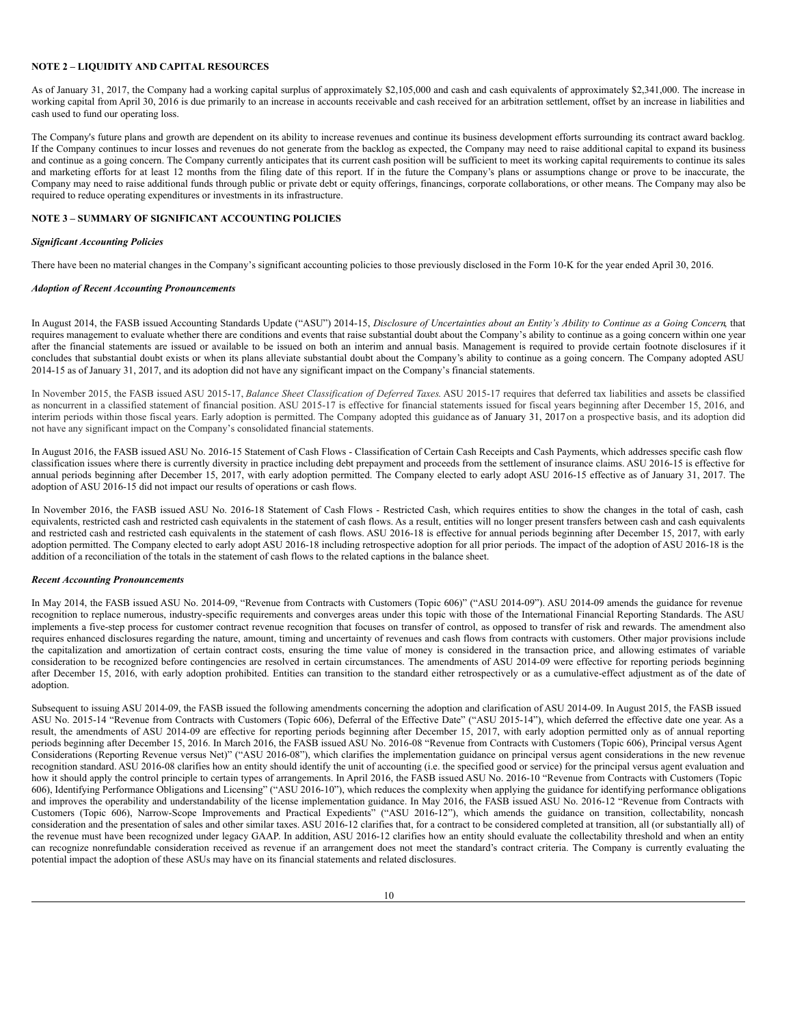### **NOTE 2 – LIQUIDITY AND CAPITAL RESOURCES**

As of January 31, 2017, the Company had a working capital surplus of approximately \$2,105,000 and cash and cash equivalents of approximately \$2,341,000. The increase in working capital from April 30, 2016 is due primarily to an increase in accounts receivable and cash received for an arbitration settlement, offset by an increase in liabilities and cash used to fund our operating loss.

The Company's future plans and growth are dependent on its ability to increase revenues and continue its business development efforts surrounding its contract award backlog. If the Company continues to incur losses and revenues do not generate from the backlog as expected, the Company may need to raise additional capital to expand its business and continue as a going concern. The Company currently anticipates that its current cash position will be sufficient to meet its working capital requirements to continue its sales and marketing efforts for at least 12 months from the filing date of this report. If in the future the Company's plans or assumptions change or prove to be inaccurate, the Company may need to raise additional funds through public or private debt or equity offerings, financings, corporate collaborations, or other means. The Company may also be required to reduce operating expenditures or investments in its infrastructure.

# **NOTE 3 – SUMMARY OF SIGNIFICANT ACCOUNTING POLICIES**

#### *Significant Accounting Policies*

There have been no material changes in the Company's significant accounting policies to those previously disclosed in the Form 10-K for the year ended April 30, 2016.

### *Adoption of Recent Accounting Pronouncements*

In August 2014, the FASB issued Accounting Standards Update ("ASU") 2014-15, Disclosure of Uncertainties about an Entity's Ability to Continue as a Going Concern, that requires management to evaluate whether there are conditions and events that raise substantial doubt about the Company's ability to continue as a going concern within one year after the financial statements are issued or available to be issued on both an interim and annual basis. Management is required to provide certain footnote disclosures if it concludes that substantial doubt exists or when its plans alleviate substantial doubt about the Company's ability to continue as a going concern. The Company adopted ASU 2014-15 as of January 31, 2017, and its adoption did not have any significant impact on the Company's financial statements.

In November 2015, the FASB issued ASU 2015-17, *Balance Sheet Classification of Deferred Taxes*. ASU 2015-17 requires that deferred tax liabilities and assets be classified as noncurrent in a classified statement of financial position. ASU 2015-17 is effective for financial statements issued for fiscal years beginning after December 15, 2016, and interim periods within those fiscal years. Early adoption is permitted. The Company adopted this guidance as of January 31, 2017 on a prospective basis, and its adoption did not have any significant impact on the Company's consolidated financial statements.

In August 2016, the FASB issued ASU No. 2016-15 Statement of Cash Flows - Classification of Certain Cash Receipts and Cash Payments, which addresses specific cash flow classification issues where there is currently diversity in practice including debt prepayment and proceeds from the settlement of insurance claims. ASU 2016-15 is effective for annual periods beginning after December 15, 2017, with early adoption permitted. The Company elected to early adopt ASU 2016-15 effective as of January 31, 2017. The adoption of ASU 2016-15 did not impact our results of operations or cash flows.

In November 2016, the FASB issued ASU No. 2016-18 Statement of Cash Flows - Restricted Cash, which requires entities to show the changes in the total of cash, cash equivalents, restricted cash and restricted cash equivalents in the statement of cash flows. As a result, entities will no longer present transfers between cash and cash equivalents and restricted cash and restricted cash equivalents in the statement of cash flows. ASU 2016-18 is effective for annual periods beginning after December 15, 2017, with early adoption permitted. The Company elected to early adopt ASU 2016-18 including retrospective adoption for all prior periods. The impact of the adoption of ASU 2016-18 is the addition of a reconciliation of the totals in the statement of cash flows to the related captions in the balance sheet.

#### *Recent Accounting Pronouncements*

In May 2014, the FASB issued ASU No. 2014-09, "Revenue from Contracts with Customers (Topic 606)" ("ASU 2014-09"). ASU 2014-09 amends the guidance for revenue recognition to replace numerous, industry-specific requirements and converges areas under this topic with those of the International Financial Reporting Standards. The ASU implements a five-step process for customer contract revenue recognition that focuses on transfer of control, as opposed to transfer of risk and rewards. The amendment also requires enhanced disclosures regarding the nature, amount, timing and uncertainty of revenues and cash flows from contracts with customers. Other major provisions include the capitalization and amortization of certain contract costs, ensuring the time value of money is considered in the transaction price, and allowing estimates of variable consideration to be recognized before contingencies are resolved in certain circumstances. The amendments of ASU 2014-09 were effective for reporting periods beginning after December 15, 2016, with early adoption prohibited. Entities can transition to the standard either retrospectively or as a cumulative-effect adjustment as of the date of adoption.

Subsequent to issuing ASU 2014-09, the FASB issued the following amendments concerning the adoption and clarification of ASU 2014-09. In August 2015, the FASB issued ASU No. 2015-14 "Revenue from Contracts with Customers (Topic 606), Deferral of the Effective Date" ("ASU 2015-14"), which deferred the effective date one year. As a result, the amendments of ASU 2014-09 are effective for reporting periods beginning after December 15, 2017, with early adoption permitted only as of annual reporting periods beginning after December 15, 2016. In March 2016, the FASB issued ASU No. 2016-08 "Revenue from Contracts with Customers (Topic 606), Principal versus Agent Considerations (Reporting Revenue versus Net)" ("ASU 2016-08"), which clarifies the implementation guidance on principal versus agent considerations in the new revenue recognition standard. ASU 2016-08 clarifies how an entity should identify the unit of accounting (i.e. the specified good or service) for the principal versus agent evaluation and how it should apply the control principle to certain types of arrangements. In April 2016, the FASB issued ASU No. 2016-10 "Revenue from Contracts with Customers (Topic 606), Identifying Performance Obligations and Licensing" ("ASU 2016-10"), which reduces the complexity when applying the guidance for identifying performance obligations and improves the operability and understandability of the license implementation guidance. In May 2016, the FASB issued ASU No. 2016-12 "Revenue from Contracts with Customers (Topic 606), Narrow-Scope Improvements and Practical Expedients" ("ASU 2016-12"), which amends the guidance on transition, collectability, noncash consideration and the presentation of sales and other similar taxes. ASU 2016-12 clarifies that, for a contract to be considered completed at transition, all (or substantially all) of the revenue must have been recognized under legacy GAAP. In addition, ASU 2016-12 clarifies how an entity should evaluate the collectability threshold and when an entity can recognize nonrefundable consideration received as revenue if an arrangement does not meet the standard's contract criteria. The Company is currently evaluating the potential impact the adoption of these ASUs may have on its financial statements and related disclosures.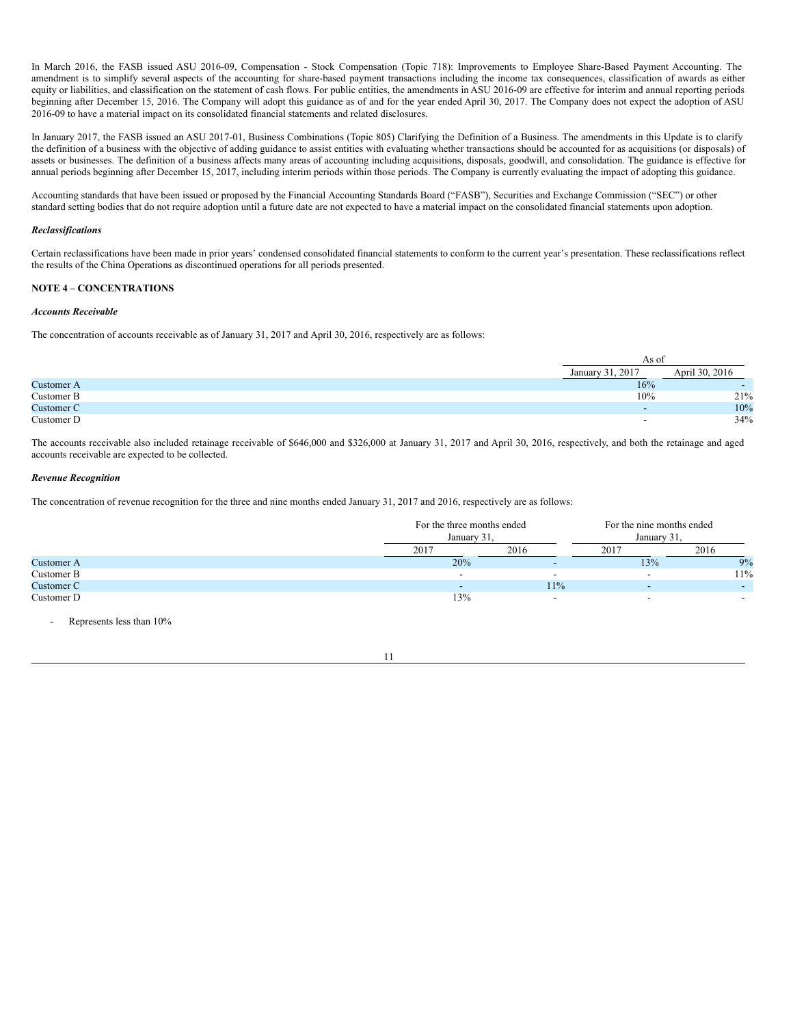In March 2016, the FASB issued ASU 2016-09, Compensation - Stock Compensation (Topic 718): Improvements to Employee Share-Based Payment Accounting. The amendment is to simplify several aspects of the accounting for share-based payment transactions including the income tax consequences, classification of awards as either equity or liabilities, and classification on the statement of cash flows. For public entities, the amendments in ASU 2016-09 are effective for interim and annual reporting periods beginning after December 15, 2016. The Company will adopt this guidance as of and for the year ended April 30, 2017. The Company does not expect the adoption of ASU 2016-09 to have a material impact on its consolidated financial statements and related disclosures.

In January 2017, the FASB issued an ASU 2017-01, Business Combinations (Topic 805) Clarifying the Definition of a Business. The amendments in this Update is to clarify the definition of a business with the objective of adding guidance to assist entities with evaluating whether transactions should be accounted for as acquisitions (or disposals) of assets or businesses. The definition of a business affects many areas of accounting including acquisitions, disposals, goodwill, and consolidation. The guidance is effective for annual periods beginning after December 15, 2017, including interim periods within those periods. The Company is currently evaluating the impact of adopting this guidance.

Accounting standards that have been issued or proposed by the Financial Accounting Standards Board ("FASB"), Securities and Exchange Commission ("SEC") or other standard setting bodies that do not require adoption until a future date are not expected to have a material impact on the consolidated financial statements upon adoption.

# *Reclassifications*

Certain reclassifications have been made in prior years' condensed consolidated financial statements to conform to the current year's presentation. These reclassifications reflect the results of the China Operations as discontinued operations for all periods presented.

# **NOTE 4 – CONCENTRATIONS**

## *Accounts Receivable*

The concentration of accounts receivable as of January 31, 2017 and April 30, 2016, respectively are as follows:

|            | As of                 |                |
|------------|-----------------------|----------------|
|            | . 2017<br>January 31, | April 30, 2016 |
| Customer A | 16%                   |                |
| Customer B | 10%                   | 21%            |
| Customer C |                       | 10%            |
| Customer D | . .                   | 34%            |

The accounts receivable also included retainage receivable of \$646,000 and \$326,000 at January 31, 2017 and April 30, 2016, respectively, and both the retainage and aged accounts receivable are expected to be collected.

# *Revenue Recognition*

The concentration of revenue recognition for the three and nine months ended January 31, 2017 and 2016, respectively are as follows:

|            |                          | For the three months ended |                          | For the nine months ended |
|------------|--------------------------|----------------------------|--------------------------|---------------------------|
|            | January                  |                            | January 31,              |                           |
|            | 2017                     | 2016                       | 2017                     | 2016                      |
| Customer A | 20%                      |                            | 13%                      | 9%                        |
| Customer B | $\overline{\phantom{a}}$ | $\overline{\phantom{0}}$   | -                        | 11%                       |
| Customer C |                          | 11%                        | $\overline{\phantom{a}}$ |                           |
| Customer D | 13%                      |                            |                          |                           |

Represents less than 10%

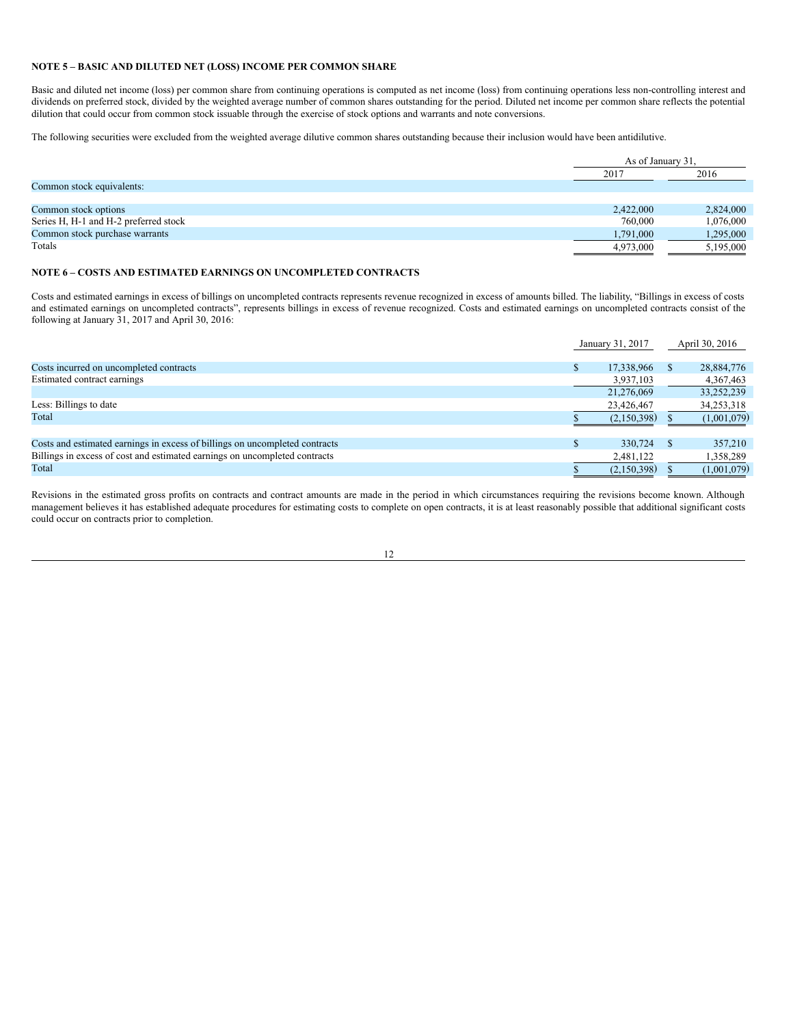# **NOTE 5 – BASIC AND DILUTED NET (LOSS) INCOME PER COMMON SHARE**

Basic and diluted net income (loss) per common share from continuing operations is computed as net income (loss) from continuing operations less non-controlling interest and dividends on preferred stock, divided by the weighted average number of common shares outstanding for the period. Diluted net income per common share reflects the potential dilution that could occur from common stock issuable through the exercise of stock options and warrants and note conversions.

The following securities were excluded from the weighted average dilutive common shares outstanding because their inclusion would have been antidilutive.

|                                       | As of January 31, |           |  |
|---------------------------------------|-------------------|-----------|--|
|                                       | 2017              | 2016      |  |
| Common stock equivalents:             |                   |           |  |
|                                       |                   |           |  |
| Common stock options                  | 2,422,000         | 2,824,000 |  |
| Series H, H-1 and H-2 preferred stock | 760,000           | 1,076,000 |  |
| Common stock purchase warrants        | 1,791,000         | 1,295,000 |  |
| Totals                                | 4,973,000         | 5,195,000 |  |

# **NOTE 6 – COSTS AND ESTIMATED EARNINGS ON UNCOMPLETED CONTRACTS**

Costs and estimated earnings in excess of billings on uncompleted contracts represents revenue recognized in excess of amounts billed. The liability, "Billings in excess of costs and estimated earnings on uncompleted contracts", represents billings in excess of revenue recognized. Costs and estimated earnings on uncompleted contracts consist of the following at January 31, 2017 and April 30, 2016:

|                                                                             | January 31, 2017 |      | April 30, 2016 |
|-----------------------------------------------------------------------------|------------------|------|----------------|
| Costs incurred on uncompleted contracts                                     | 17,338,966       |      | 28,884,776     |
| Estimated contract earnings                                                 | 3,937,103        |      | 4,367,463      |
|                                                                             | 21,276,069       |      | 33,252,239     |
| Less: Billings to date                                                      | 23,426,467       |      | 34,253,318     |
| Total                                                                       | (2,150,398)      |      | (1,001,079)    |
|                                                                             |                  |      |                |
| Costs and estimated earnings in excess of billings on uncompleted contracts | 330,724          | - 55 | 357,210        |
| Billings in excess of cost and estimated earnings on uncompleted contracts  | 2,481,122        |      | 1,358,289      |
| Total                                                                       | (2,150,398)      |      | (1,001,079)    |

Revisions in the estimated gross profits on contracts and contract amounts are made in the period in which circumstances requiring the revisions become known. Although management believes it has established adequate procedures for estimating costs to complete on open contracts, it is at least reasonably possible that additional significant costs could occur on contracts prior to completion.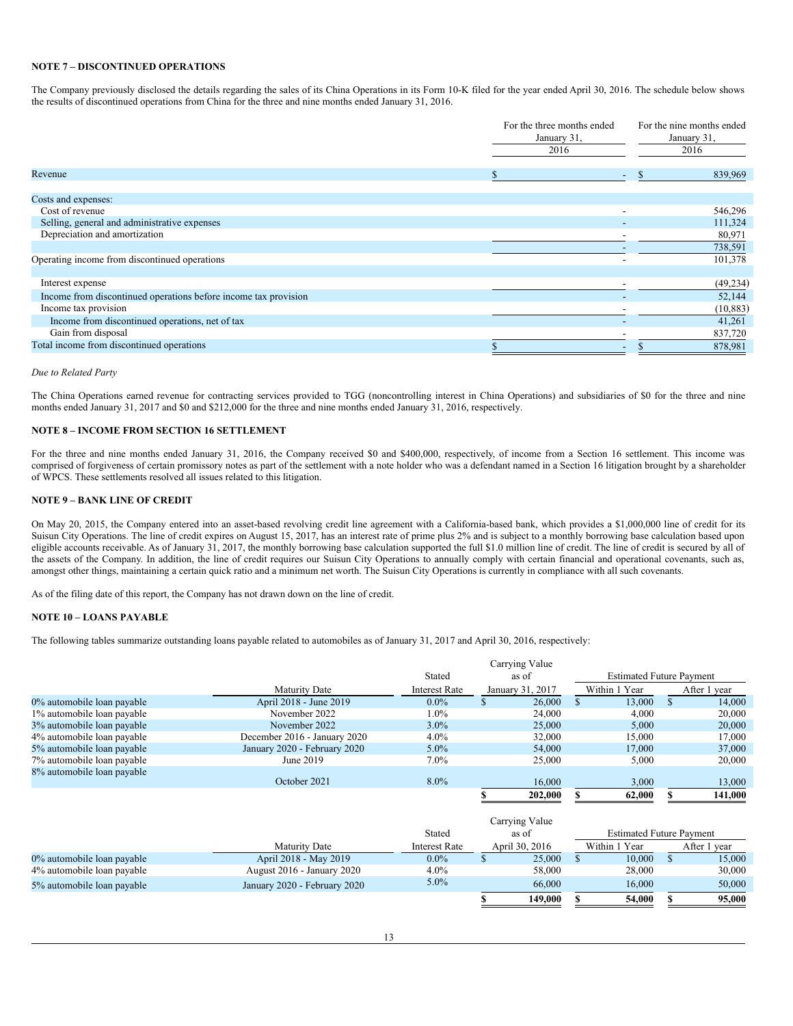# **NOTE 7 – DISCONTINUED OPERATIONS**

The Company previously disclosed the details regarding the sales of its China Operations in its Form 10-K filed for the year ended April 30, 2016. The schedule below shows the results of discontinued operations from China for the three and nine months ended January 31, 2016.

|                                                                 | For the three months ended<br>January 31, | For the nine months ended<br>January 31, |
|-----------------------------------------------------------------|-------------------------------------------|------------------------------------------|
|                                                                 | 2016                                      | 2016                                     |
| Revenue                                                         | $\overline{\phantom{a}}$                  | 839,969                                  |
| Costs and expenses:                                             |                                           |                                          |
| Cost of revenue                                                 |                                           | 546,296                                  |
| Selling, general and administrative expenses                    |                                           | 111,324                                  |
| Depreciation and amortization                                   |                                           | 80,971                                   |
|                                                                 |                                           | 738,591                                  |
| Operating income from discontinued operations                   |                                           | 101,378                                  |
|                                                                 |                                           |                                          |
| Interest expense                                                |                                           | (49, 234)                                |
| Income from discontinued operations before income tax provision |                                           | 52,144                                   |
| Income tax provision                                            |                                           | (10, 883)                                |
| Income from discontinued operations, net of tax                 |                                           | 41,261                                   |
| Gain from disposal                                              |                                           | 837,720                                  |
| Total income from discontinued operations                       |                                           | 878,981                                  |

## *Due to Related Party*

The China Operations earned revenue for contracting services provided to TGG (noncontrolling interest in China Operations) and subsidiaries of \$0 for the three and nine months ended January 31, 2017 and \$0 and \$212,000 for the three and nine months ended January 31, 2016, respectively.

# **NOTE 8 – INCOME FROM SECTION 16 SETTLEMENT**

For the three and nine months ended January 31, 2016, the Company received \$0 and \$400,000, respectively, of income from a Section 16 settlement. This income was comprised of forgiveness of certain promissory notes as part of the settlement with a note holder who was a defendant named in a Section 16 litigation brought by a shareholder of WPCS. These settlements resolved all issues related to this litigation.

# **NOTE 9 – BANK LINE OF CREDIT**

On May 20, 2015, the Company entered into an asset-based revolving credit line agreement with a California-based bank, which provides a \$1,000,000 line of credit for its Suisun City Operations. The line of credit expires on August 15, 2017, has an interest rate of prime plus 2% and is subject to a monthly borrowing base calculation based upon eligible accounts receivable. As of January  $3\hat{1}$ ,  $2017$ , the monthly borrowing base calculation supported the full \$1.0 million line of credit. The line of credit is secured by all of the assets of the Company. In addition, the line of credit requires our Suisun City Operations to annually comply with certain financial and operational covenants, such as, amongst other things, maintaining a certain quick ratio and a minimum net worth. The Suisun City Operations is currently in compliance with all such covenants.

As of the filing date of this report, the Company has not drawn down on the line of credit.

# **NOTE 10 – LOANS PAYABLE**

The following tables summarize outstanding loans payable related to automobiles as of January 31, 2017 and April 30, 2016, respectively:

|                            |                                   |                      |       | Carrying Value   |                                 |                                 |    |              |
|----------------------------|-----------------------------------|----------------------|-------|------------------|---------------------------------|---------------------------------|----|--------------|
|                            |                                   | Stated               |       | as of            |                                 | <b>Estimated Future Payment</b> |    |              |
|                            | <b>Maturity Date</b>              | <b>Interest Rate</b> |       | January 31, 2017 |                                 | Within 1 Year                   |    | After 1 year |
| 0% automobile loan payable | April 2018 - June 2019            | $0.0\%$              |       | 26,000           |                                 | 13,000                          | S. | 14,000       |
| 1% automobile loan payable | November 2022                     | $1.0\%$              |       | 24,000           |                                 | 4,000                           |    | 20,000       |
| 3% automobile loan payable | November 2022                     | $3.0\%$              |       | 25,000           |                                 | 5,000                           |    | 20,000       |
| 4% automobile loan payable | December 2016 - January 2020      | $4.0\%$              |       | 32,000           |                                 | 15,000                          |    | 17,000       |
| 5% automobile loan payable | January 2020 - February 2020      | $5.0\%$              |       | 54,000           |                                 | 17,000                          |    | 37,000       |
| 7% automobile loan payable | June 2019                         | $7.0\%$              |       | 25,000           |                                 | 5,000                           |    | 20,000       |
| 8% automobile loan payable | October 2021                      | $8.0\%$              |       | 16,000           |                                 | 3,000                           |    | 13,000       |
|                            |                                   |                      |       | 202,000          |                                 | 62,000                          |    | 141,000      |
|                            |                                   |                      |       | Carrying Value   |                                 |                                 |    |              |
|                            |                                   | Stated               | as of |                  | <b>Estimated Future Payment</b> |                                 |    |              |
|                            | <b>Maturity Date</b>              | <b>Interest Rate</b> |       | April 30, 2016   |                                 | Within 1 Year                   |    | After 1 year |
| 0% automobile loan payable | April 2018 - May 2019             | $0.0\%$              |       | 25,000           |                                 | 10,000                          | S. | 15,000       |
| 4% automobile loan payable | <b>August 2016 - January 2020</b> | $4.0\%$              |       | 58,000           |                                 | 28,000                          |    | 30,000       |
| 5% automobile loan payable | January 2020 - February 2020      | $5.0\%$              |       | 66,000           |                                 | 16,000                          |    | 50,000       |
|                            |                                   |                      |       | 149,000          |                                 | 54,000                          |    | 95,000       |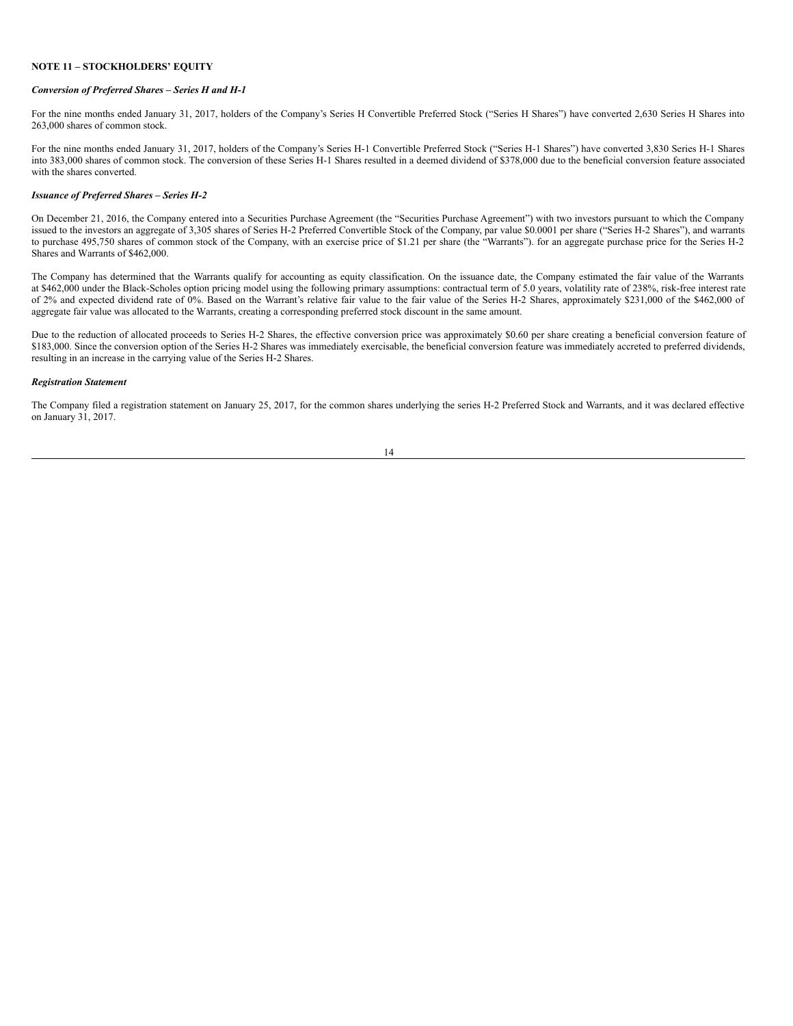# **NOTE 11 – STOCKHOLDERS' EQUITY**

# *Conversion of Preferred Shares – Series H and H-1*

For the nine months ended January 31, 2017, holders of the Company's Series H Convertible Preferred Stock ("Series H Shares") have converted 2,630 Series H Shares into 263,000 shares of common stock.

For the nine months ended January 31, 2017, holders of the Company's Series H-1 Convertible Preferred Stock ("Series H-1 Shares") have converted 3,830 Series H-1 Shares into 383,000 shares of common stock. The conversion of these Series H-1 Shares resulted in a deemed dividend of \$378,000 due to the beneficial conversion feature associated with the shares converted.

## *Issuance of Preferred Shares – Series H-2*

On December 21, 2016, the Company entered into a Securities Purchase Agreement (the "Securities Purchase Agreement") with two investors pursuant to which the Company issued to the investors an aggregate of 3,305 shares of Series H-2 Preferred Convertible Stock of the Company, par value \$0.0001 per share ("Series H-2 Shares"), and warrants to purchase 495,750 shares of common stock of the Company, with an exercise price of \$1.21 per share (the "Warrants"). for an aggregate purchase price for the Series H-2 Shares and Warrants of \$462,000.

The Company has determined that the Warrants qualify for accounting as equity classification. On the issuance date, the Company estimated the fair value of the Warrants at \$462,000 under the Black-Scholes option pricing model using the following primary assumptions: contractual term of 5.0 years, volatility rate of 238%, risk-free interest rate of 2% and expected dividend rate of 0%. Based on the Warrant's relative fair value to the fair value of the Series H-2 Shares, approximately \$231,000 of the \$462,000 of aggregate fair value was allocated to the Warrants, creating a corresponding preferred stock discount in the same amount.

Due to the reduction of allocated proceeds to Series H-2 Shares, the effective conversion price was approximately \$0.60 per share creating a beneficial conversion feature of \$183,000. Since the conversion option of the Series H-2 Shares was immediately exercisable, the beneficial conversion feature was immediately accreted to preferred dividends, resulting in an increase in the carrying value of the Series H-2 Shares.

#### *Registration Statement*

The Company filed a registration statement on January 25, 2017, for the common shares underlying the series H-2 Preferred Stock and Warrants, and it was declared effective on January 31, 2017.

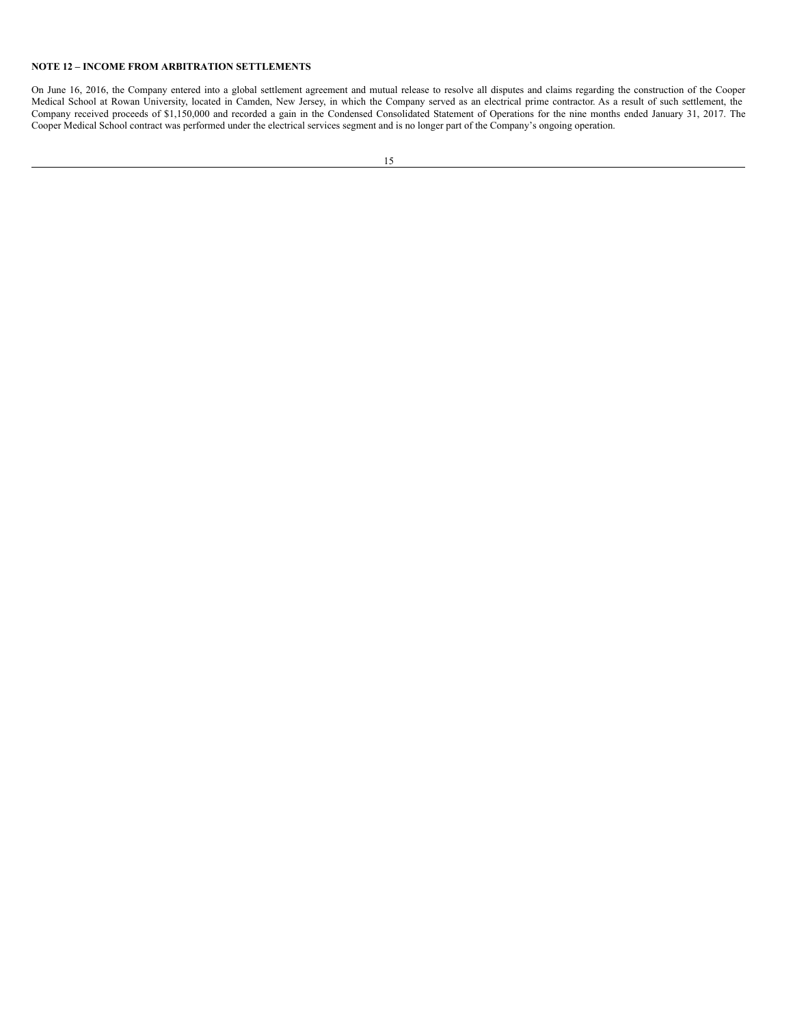# **NOTE 12 – INCOME FROM ARBITRATION SETTLEMENTS**

On June 16, 2016, the Company entered into a global settlement agreement and mutual release to resolve all disputes and claims regarding the construction of the Cooper Medical School at Rowan University, located in Camden, New Jersey, in which the Company served as an electrical prime contractor. As a result of such settlement, the Company received proceeds of \$1,150,000 and recorded a gain in the Condensed Consolidated Statement of Operations for the nine months ended January 31, 2017. The Cooper Medical School contract was performed under the electrical services segment and is no longer part of the Company's ongoing operation.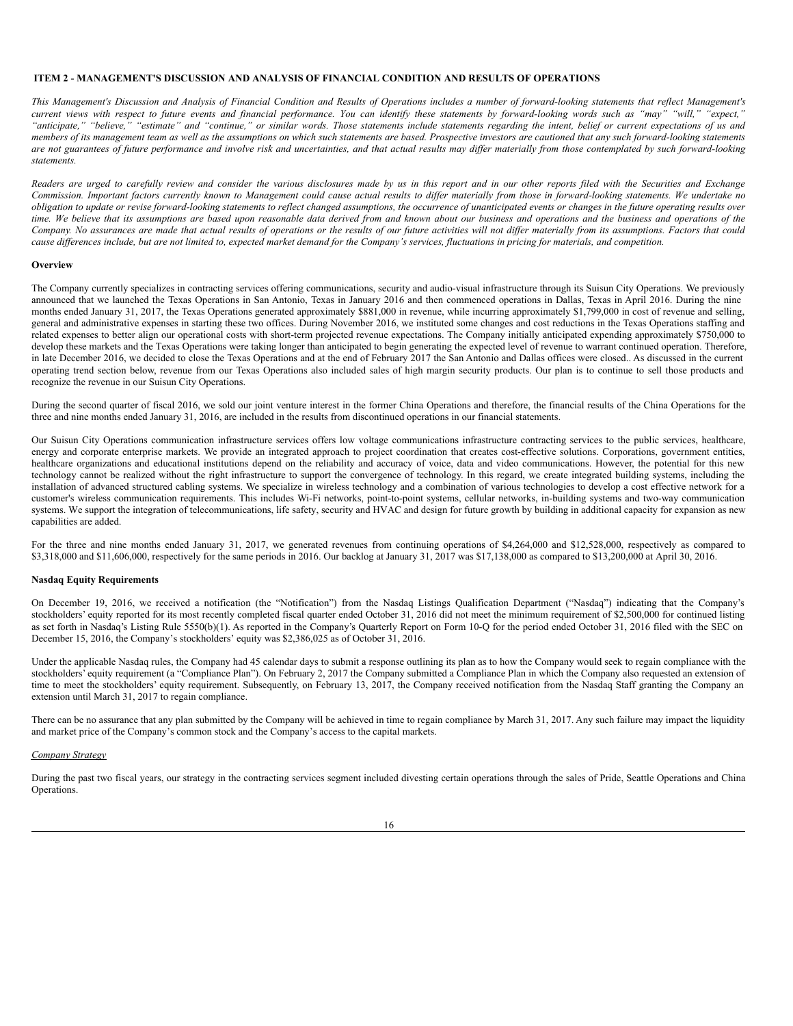## <span id="page-15-0"></span>**ITEM 2 - MANAGEMENT'S DISCUSSION AND ANALYSIS OF FINANCIAL CONDITION AND RESULTS OF OPERATIONS**

This Management's Discussion and Analysis of Financial Condition and Results of Operations includes a number of forward-looking statements that reflect Management's current views with respect to future events and financial performance. You can identify these statements by forward-looking words such as "may" "will," "expect," "anticipate," "believe," "estimate" and "continue," or similar words. Those statements include statements regarding the intent, belief or current expectations of us and members of its management team as well as the assumptions on which such statements are based. Prospective investors are cautioned that any such forward-looking statements are not guarantees of future performance and involve risk and uncertainties, and that actual results may differ materially from those contemplated by such forward-looking *statements.*

Readers are urged to carefully review and consider the various disclosures made by us in this report and in our other reports filed with the Securities and Exchange Commission. Important factors currently known to Management could cause actual results to differ materially from those in forward-looking statements. We undertake no obligation to update or revise forward-looking statements to reflect changed assumptions, the occurrence of unanticipated events or changes in the future operating results over time. We believe that its assumptions are based upon reasonable data derived from and known about our business and operations and the business and operations of the Company. No assurances are made that actual results of operations or the results of our future activities will not differ materially from its assumptions. Factors that could cause differences include, but are not limited to, expected market demand for the Company's services, fluctuations in pricing for materials, and competition.

#### **Overview**

The Company currently specializes in contracting services offering communications, security and audio-visual infrastructure through its Suisun City Operations. We previously announced that we launched the Texas Operations in San Antonio, Texas in January 2016 and then commenced operations in Dallas, Texas in April 2016. During the nine months ended January 31, 2017, the Texas Operations generated approximately \$881,000 in revenue, while incurring approximately \$1,799,000 in cost of revenue and selling, general and administrative expenses in starting these two offices. During November 2016, we instituted some changes and cost reductions in the Texas Operations staffing and related expenses to better align our operational costs with short-term projected revenue expectations. The Company initially anticipated expending approximately \$750,000 to develop these markets and the Texas Operations were taking longer than anticipated to begin generating the expected level of revenue to warrant continued operation. Therefore, in late December 2016, we decided to close the Texas Operations and at the end of February 2017 the San Antonio and Dallas offices were closed.. As discussed in the current operating trend section below, revenue from our Texas Operations also included sales of high margin security products. Our plan is to continue to sell those products and recognize the revenue in our Suisun City Operations.

During the second quarter of fiscal 2016, we sold our joint venture interest in the former China Operations and therefore, the financial results of the China Operations for the three and nine months ended January 31, 2016, are included in the results from discontinued operations in our financial statements.

Our Suisun City Operations communication infrastructure services offers low voltage communications infrastructure contracting services to the public services, healthcare, energy and corporate enterprise markets. We provide an integrated approach to project coordination that creates cost-effective solutions. Corporations, government entities, healthcare organizations and educational institutions depend on the reliability and accuracy of voice, data and video communications. However, the potential for this new technology cannot be realized without the right infrastructure to support the convergence of technology. In this regard, we create integrated building systems, including the installation of advanced structured cabling systems. We specialize in wireless technology and a combination of various technologies to develop a cost effective network for a customer's wireless communication requirements. This includes Wi-Fi networks, point-to-point systems, cellular networks, in-building systems and two-way communication systems. We support the integration of telecommunications, life safety, security and HVAC and design for future growth by building in additional capacity for expansion as new capabilities are added.

For the three and nine months ended January 31, 2017, we generated revenues from continuing operations of \$4,264,000 and \$12,528,000, respectively as compared to \$3,318,000 and \$11,606,000, respectively for the same periods in 2016. Our backlog at January 31, 2017 was \$17,138,000 as compared to \$13,200,000 at April 30, 2016.

#### **Nasdaq Equity Requirements**

On December 19, 2016, we received a notification (the "Notification") from the Nasdaq Listings Qualification Department ("Nasdaq") indicating that the Company's stockholders' equity reported for its most recently completed fiscal quarter ended October 31, 2016 did not meet the minimum requirement of \$2,500,000 for continued listing as set forth in Nasdaq's Listing Rule 5550(b)(1). As reported in the Company's Quarterly Report on Form 10-Q for the period ended October 31, 2016 filed with the SEC on December 15, 2016, the Company's stockholders' equity was \$2,386,025 as of October 31, 2016.

Under the applicable Nasdaq rules, the Company had 45 calendar days to submit a response outlining its plan as to how the Company would seek to regain compliance with the stockholders' equity requirement (a "Compliance Plan"). On February 2, 2017 the Company submitted a Compliance Plan in which the Company also requested an extension of time to meet the stockholders' equity requirement. Subsequently, on February 13, 2017, the Company received notification from the Nasdaq Staff granting the Company an extension until March 31, 2017 to regain compliance.

There can be no assurance that any plan submitted by the Company will be achieved in time to regain compliance by March 31, 2017. Any such failure may impact the liquidity and market price of the Company's common stock and the Company's access to the capital markets.

#### *Company Strategy*

During the past two fiscal years, our strategy in the contracting services segment included divesting certain operations through the sales of Pride, Seattle Operations and China Operations.

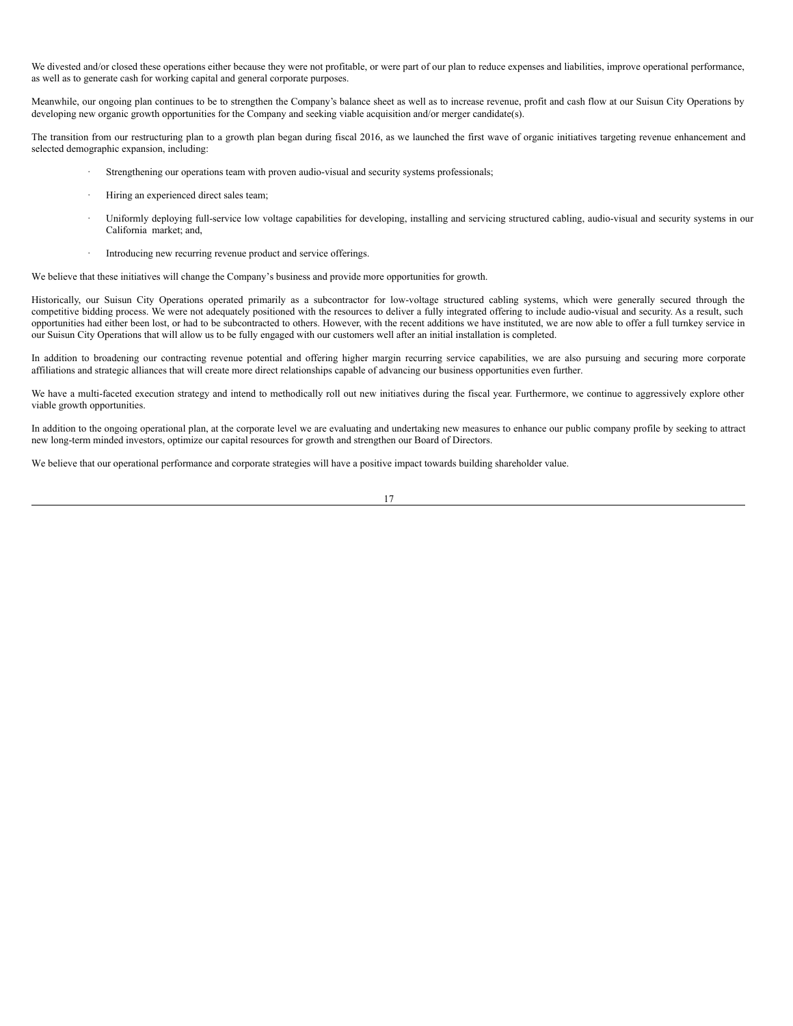We divested and/or closed these operations either because they were not profitable, or were part of our plan to reduce expenses and liabilities, improve operational performance, as well as to generate cash for working capital and general corporate purposes.

Meanwhile, our ongoing plan continues to be to strengthen the Company's balance sheet as well as to increase revenue, profit and cash flow at our Suisun City Operations by developing new organic growth opportunities for the Company and seeking viable acquisition and/or merger candidate(s).

The transition from our restructuring plan to a growth plan began during fiscal 2016, as we launched the first wave of organic initiatives targeting revenue enhancement and selected demographic expansion, including:

- · Strengthening our operations team with proven audio-visual and security systems professionals;
- Hiring an experienced direct sales team;
- · Uniformly deploying full-service low voltage capabilities for developing, installing and servicing structured cabling, audio-visual and security systems in our California market; and,
- Introducing new recurring revenue product and service offerings.

We believe that these initiatives will change the Company's business and provide more opportunities for growth.

Historically, our Suisun City Operations operated primarily as a subcontractor for low-voltage structured cabling systems, which were generally secured through the competitive bidding process. We were not adequately positioned with the resources to deliver a fully integrated offering to include audio-visual and security. As a result, such opportunities had either been lost, or had to be subcontracted to others. However, with the recent additions we have instituted, we are now able to offer a full turnkey service in our Suisun City Operations that will allow us to be fully engaged with our customers well after an initial installation is completed.

In addition to broadening our contracting revenue potential and offering higher margin recurring service capabilities, we are also pursuing and securing more corporate affiliations and strategic alliances that will create more direct relationships capable of advancing our business opportunities even further.

We have a multi-faceted execution strategy and intend to methodically roll out new initiatives during the fiscal year. Furthermore, we continue to aggressively explore other viable growth opportunities.

In addition to the ongoing operational plan, at the corporate level we are evaluating and undertaking new measures to enhance our public company profile by seeking to attract new long-term minded investors, optimize our capital resources for growth and strengthen our Board of Directors.

We believe that our operational performance and corporate strategies will have a positive impact towards building shareholder value.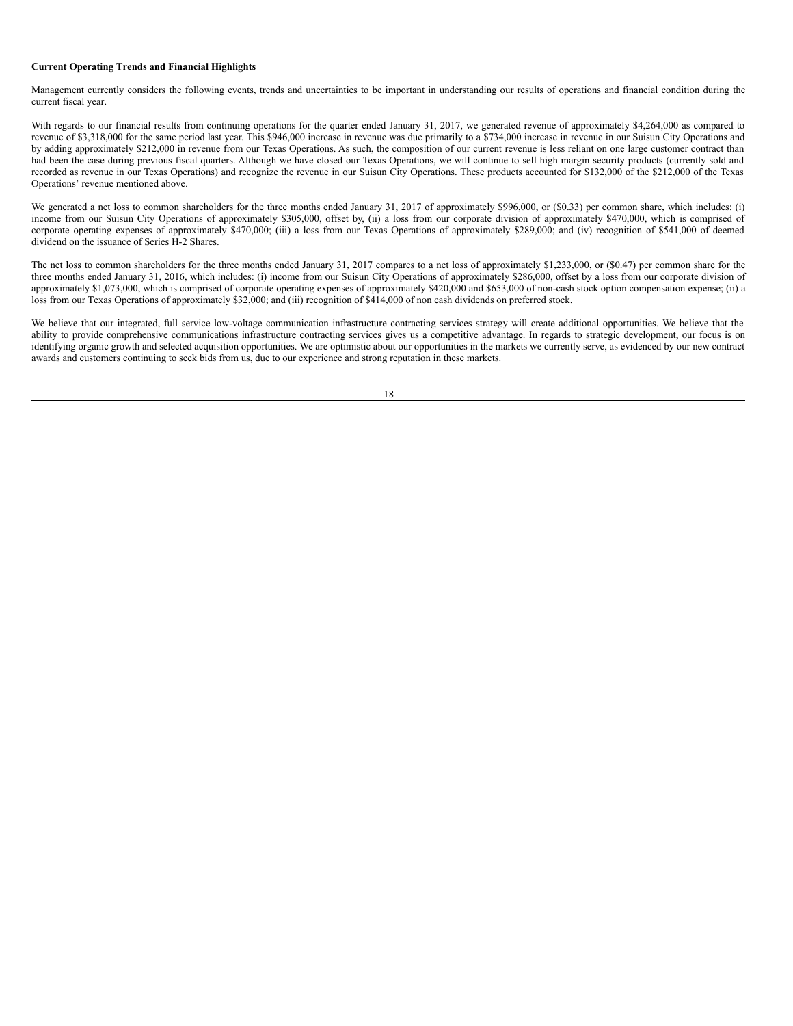## **Current Operating Trends and Financial Highlights**

Management currently considers the following events, trends and uncertainties to be important in understanding our results of operations and financial condition during the current fiscal year.

With regards to our financial results from continuing operations for the quarter ended January 31, 2017, we generated revenue of approximately \$4,264,000 as compared to revenue of \$3,318,000 for the same period last year. This \$946,000 increase in revenue was due primarily to a \$734,000 increase in revenue in our Suisun City Operations and by adding approximately \$212,000 in revenue from our Texas Operations. As such, the composition of our current revenue is less reliant on one large customer contract than had been the case during previous fiscal quarters. Although we have closed our Texas Operations, we will continue to sell high margin security products (currently sold and recorded as revenue in our Texas Operations) and recognize the revenue in our Suisun City Operations. These products accounted for \$132,000 of the \$212,000 of the Texas Operations' revenue mentioned above.

We generated a net loss to common shareholders for the three months ended January 31, 2017 of approximately \$996,000, or (\$0.33) per common share, which includes: (i) income from our Suisun City Operations of approximately \$305,000, offset by, (ii) a loss from our corporate division of approximately \$470,000, which is comprised of corporate operating expenses of approximately \$470,000; (iii) a loss from our Texas Operations of approximately \$289,000; and (iv) recognition of \$541,000 of deemed dividend on the issuance of Series H-2 Shares.

The net loss to common shareholders for the three months ended January 31, 2017 compares to a net loss of approximately \$1,233,000, or (\$0.47) per common share for the three months ended January 31, 2016, which includes: (i) income from our Suisun City Operations of approximately \$286,000, offset by a loss from our corporate division of approximately \$1,073,000, which is comprised of corporate operating expenses of approximately \$420,000 and \$653,000 of non-cash stock option compensation expense; (ii) a loss from our Texas Operations of approximately \$32,000; and (iii) recognition of \$414,000 of non cash dividends on preferred stock.

We believe that our integrated, full service low-voltage communication infrastructure contracting services strategy will create additional opportunities. We believe that the ability to provide comprehensive communications infrastructure contracting services gives us a competitive advantage. In regards to strategic development, our focus is on identifying organic growth and selected acquisition opportunities. We are optimistic about our opportunities in the markets we currently serve, as evidenced by our new contract awards and customers continuing to seek bids from us, due to our experience and strong reputation in these markets.

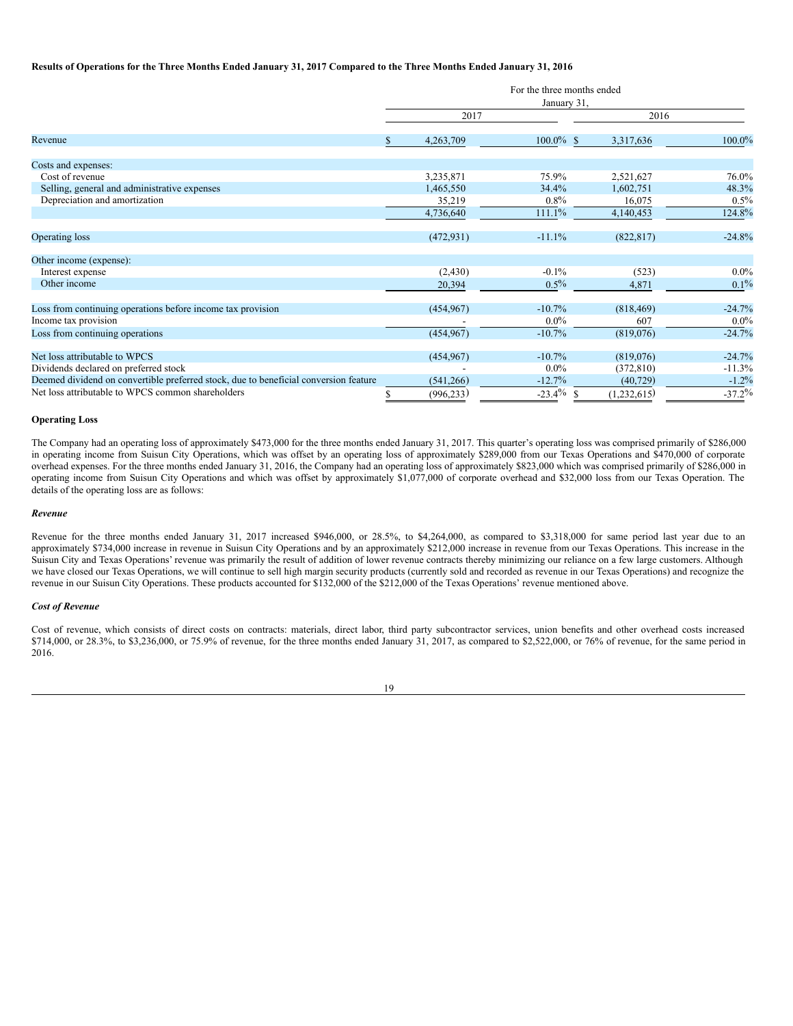# Results of Operations for the Three Months Ended January 31, 2017 Compared to the Three Months Ended January 31, 2016

|                                                                                      | For the three months ended<br>January 31, |            |              |             |          |  |
|--------------------------------------------------------------------------------------|-------------------------------------------|------------|--------------|-------------|----------|--|
|                                                                                      | 2017                                      |            |              | 2016        |          |  |
| Revenue                                                                              |                                           | 4,263,709  | $100.0\%$ \$ | 3,317,636   | 100.0%   |  |
| Costs and expenses:                                                                  |                                           |            |              |             |          |  |
| Cost of revenue                                                                      |                                           | 3,235,871  | 75.9%        | 2,521,627   | 76.0%    |  |
| Selling, general and administrative expenses                                         |                                           | 1,465,550  | 34.4%        | 1,602,751   | 48.3%    |  |
| Depreciation and amortization                                                        |                                           | 35,219     | $0.8\%$      | 16,075      | $0.5\%$  |  |
|                                                                                      |                                           | 4,736,640  | 111.1%       | 4,140,453   | 124.8%   |  |
| Operating loss                                                                       |                                           | (472, 931) | $-11.1%$     | (822, 817)  | $-24.8%$ |  |
| Other income (expense):                                                              |                                           |            |              |             |          |  |
| Interest expense                                                                     |                                           | (2,430)    | $-0.1%$      | (523)       | $0.0\%$  |  |
| Other income                                                                         |                                           | 20,394     | $0.5\%$      | 4,871       | 0.1%     |  |
| Loss from continuing operations before income tax provision                          |                                           | (454, 967) | $-10.7%$     | (818, 469)  | $-24.7%$ |  |
| Income tax provision                                                                 |                                           |            | $0.0\%$      | 607         | $0.0\%$  |  |
| Loss from continuing operations                                                      |                                           | (454, 967) | $-10.7%$     | (819,076)   | $-24.7%$ |  |
| Net loss attributable to WPCS                                                        |                                           | (454, 967) | $-10.7\%$    | (819,076)   | $-24.7%$ |  |
| Dividends declared on preferred stock                                                |                                           |            | $0.0\%$      | (372, 810)  | $-11.3%$ |  |
| Deemed dividend on convertible preferred stock, due to beneficial conversion feature |                                           | (541, 266) | $-12.7\%$    | (40, 729)   | $-1.2%$  |  |
| Net loss attributable to WPCS common shareholders                                    |                                           | (996, 233) | $-23.4\%$ \$ | (1,232,615) | $-37.2%$ |  |

### **Operating Loss**

The Company had an operating loss of approximately \$473,000 for the three months ended January 31, 2017. This quarter's operating loss was comprised primarily of \$286,000 in operating income from Suisun City Operations, which was offset by an operating loss of approximately \$289,000 from our Texas Operations and \$470,000 of corporate overhead expenses. For the three months ended January 31, 2016, the Company had an operating loss of approximately \$823,000 which was comprised primarily of \$286,000 in operating income from Suisun City Operations and which was offset by approximately \$1,077,000 of corporate overhead and \$32,000 loss from our Texas Operation. The details of the operating loss are as follows:

## *Revenue*

Revenue for the three months ended January 31, 2017 increased \$946,000, or 28.5%, to \$4,264,000, as compared to \$3,318,000 for same period last year due to an approximately \$734,000 increase in revenue in Suisun City Operations and by an approximately \$212,000 increase in revenue from our Texas Operations. This increase in the Suisun City and Texas Operations' revenue was primarily the result of addition of lower revenue contracts thereby minimizing our reliance on a few large customers. Although we have closed our Texas Operations, we will continue to sell high margin security products (currently sold and recorded as revenue in our Texas Operations) and recognize the revenue in our Suisun City Operations. These products accounted for \$132,000 of the \$212,000 of the Texas Operations' revenue mentioned above.

#### *Cost of Revenue*

Cost of revenue, which consists of direct costs on contracts: materials, direct labor, third party subcontractor services, union benefits and other overhead costs increased \$714,000, or 28.3%, to \$3,236,000, or 75.9% of revenue, for the three months ended January 31, 2017, as compared to \$2,522,000, or 76% of revenue, for the same period in 2016.

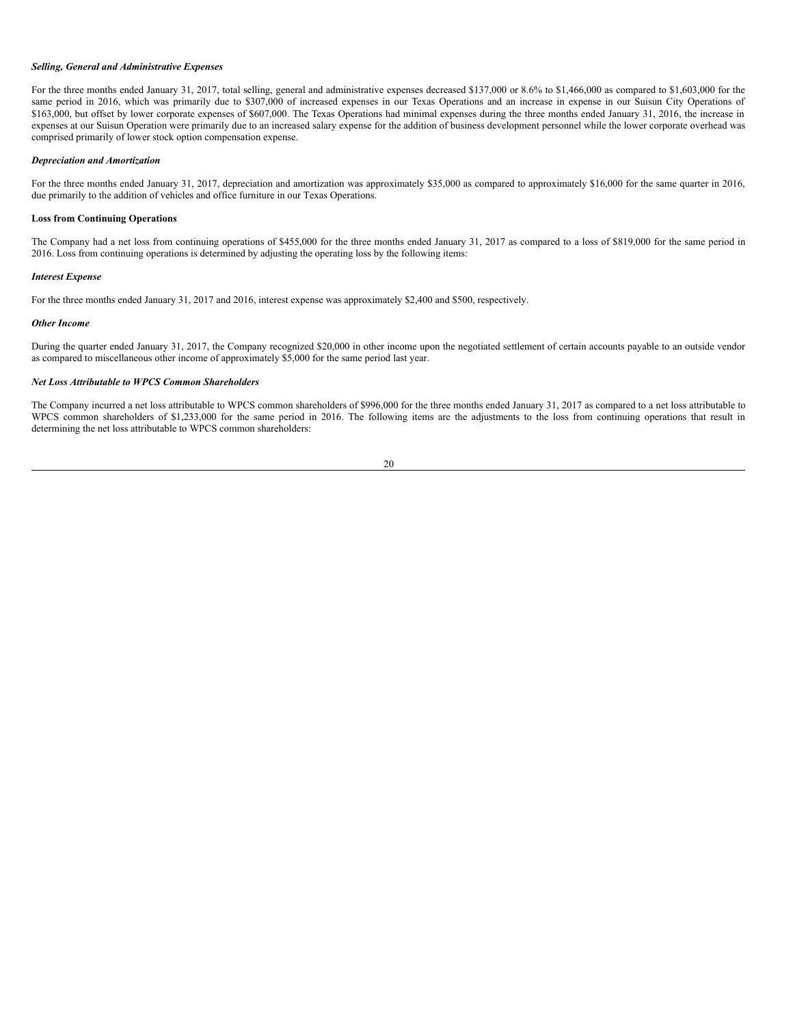#### *Selling, General and Administrative Expenses*

For the three months ended January 31, 2017, total selling, general and administrative expenses decreased \$137,000 or 8.6% to \$1,466,000 as compared to \$1,603,000 for the same period in 2016, which was primarily due to \$307,000 of increased expenses in our Texas Operations and an increase in expense in our Suisun City Operations of \$163,000, but offset by lower corporate expenses of \$607,000. The Texas Operations had minimal expenses during the three months ended January 31, 2016, the increase in expenses at our Suisun Operation were primarily due to an increased salary expense for the addition of business development personnel while the lower corporate overhead was comprised primarily of lower stock option compensation expense.

### *Depreciation and Amortization*

For the three months ended January 31, 2017, depreciation and amortization was approximately \$35,000 as compared to approximately \$16,000 for the same quarter in 2016, due primarily to the addition of vehicles and office furniture in our Texas Operations.

### **Loss from Continuing Operations**

The Company had a net loss from continuing operations of \$455,000 for the three months ended January 31, 2017 as compared to a loss of \$819,000 for the same period in 2016. Loss from continuing operations is determined by adjusting the operating loss by the following items:

### *Interest Expense*

For the three months ended January 31, 2017 and 2016, interest expense was approximately \$2,400 and \$500, respectively.

### *Other Income*

During the quarter ended January 31, 2017, the Company recognized \$20,000 in other income upon the negotiated settlement of certain accounts payable to an outside vendor as compared to miscellaneous other income of approximately \$5,000 for the same period last year.

## *Net Loss Attributable to WPCS Common Shareholders*

The Company incurred a net loss attributable to WPCS common shareholders of \$996,000 for the three months ended January 31, 2017 as compared to a net loss attributable to WPCS common shareholders of \$1,233,000 for the same period in 2016. The following items are the adjustments to the loss from continuing operations that result in determining the net loss attributable to WPCS common shareholders: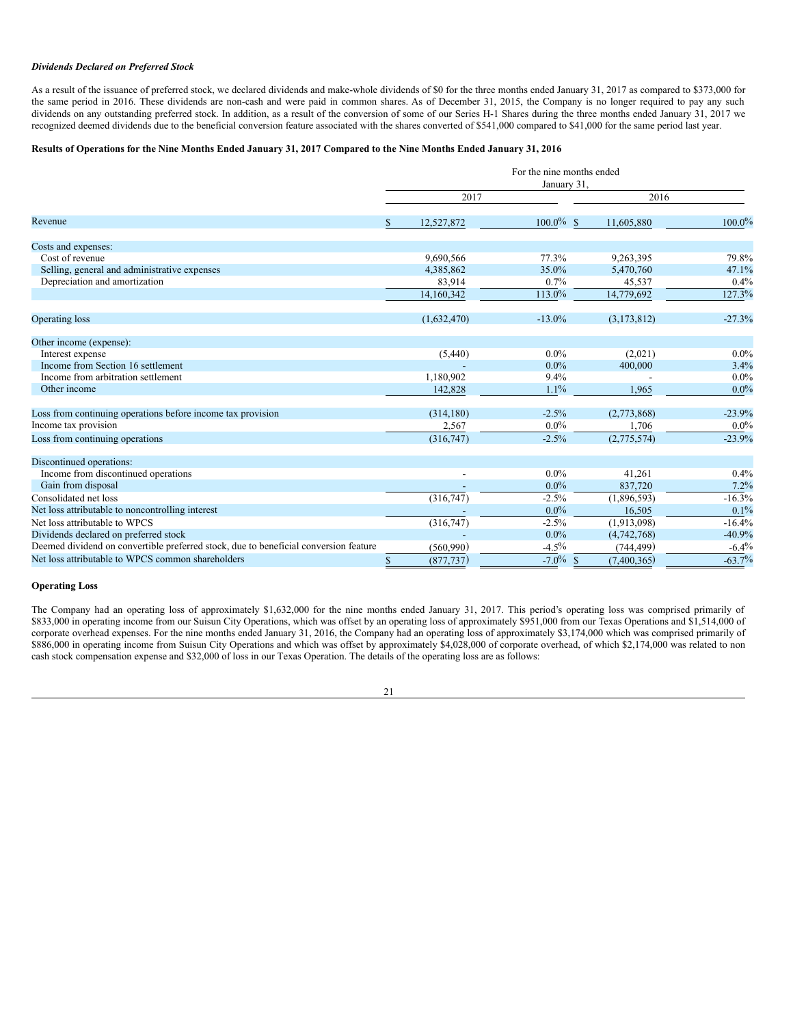## *Dividends Declared on Preferred Stock*

As a result of the issuance of preferred stock, we declared dividends and make-whole dividends of \$0 for the three months ended January 31, 2017 as compared to \$373,000 for the same period in 2016. These dividends are non-cash and were paid in common shares. As of December 31, 2015, the Company is no longer required to pay any such dividends on any outstanding preferred stock. In addition, as a result of the conversion of some of our Series H-1 Shares during the three months ended January 31, 2017 we recognized deemed dividends due to the beneficial conversion feature associated with the shares converted of \$541,000 compared to \$41,000 for the same period last year.

# Results of Operations for the Nine Months Ended January 31, 2017 Compared to the Nine Months Ended January 31, 2016

|                                                                                      | For the nine months ended<br>January 31. |             |              |      |             |           |
|--------------------------------------------------------------------------------------|------------------------------------------|-------------|--------------|------|-------------|-----------|
|                                                                                      | 2017                                     |             |              | 2016 |             |           |
| Revenue                                                                              |                                          | 12,527,872  | $100.0\%$ \$ |      | 11,605,880  | $100.0\%$ |
| Costs and expenses:                                                                  |                                          |             |              |      |             |           |
| Cost of revenue                                                                      |                                          | 9.690.566   | 77.3%        |      | 9,263,395   | 79.8%     |
| Selling, general and administrative expenses                                         |                                          | 4,385,862   | 35.0%        |      | 5,470,760   | 47.1%     |
| Depreciation and amortization                                                        |                                          | 83,914      | 0.7%         |      | 45,537      | 0.4%      |
|                                                                                      |                                          | 14,160,342  | 113.0%       |      | 14,779,692  | 127.3%    |
| Operating loss                                                                       |                                          | (1,632,470) | $-13.0\%$    |      | (3,173,812) | $-27.3%$  |
| Other income (expense):                                                              |                                          |             |              |      |             |           |
| Interest expense                                                                     |                                          | (5,440)     | $0.0\%$      |      | (2,021)     | $0.0\%$   |
| Income from Section 16 settlement                                                    |                                          |             | $0.0\%$      |      | 400,000     | 3.4%      |
| Income from arbitration settlement                                                   |                                          | 1,180,902   | 9.4%         |      |             | $0.0\%$   |
| Other income                                                                         |                                          | 142,828     | 1.1%         |      | 1,965       | $0.0\%$   |
| Loss from continuing operations before income tax provision                          |                                          | (314, 180)  | $-2.5%$      |      | (2,773,868) | $-23.9%$  |
| Income tax provision                                                                 |                                          | 2,567       | $0.0\%$      |      | 1,706       | $0.0\%$   |
| Loss from continuing operations                                                      |                                          | (316,747)   | $-2.5%$      |      | (2,775,574) | $-23.9%$  |
| Discontinued operations:                                                             |                                          |             |              |      |             |           |
| Income from discontinued operations                                                  |                                          |             | $0.0\%$      |      | 41,261      | 0.4%      |
| Gain from disposal                                                                   |                                          |             | $0.0\%$      |      | 837,720     | 7.2%      |
| Consolidated net loss                                                                |                                          | (316,747)   | $-2.5%$      |      | (1,896,593) | $-16.3%$  |
| Net loss attributable to noncontrolling interest                                     |                                          |             | $0.0\%$      |      | 16,505      | 0.1%      |
| Net loss attributable to WPCS                                                        |                                          | (316,747)   | $-2.5%$      |      | (1,913,098) | $-16.4%$  |
| Dividends declared on preferred stock                                                |                                          |             | $0.0\%$      |      | (4,742,768) | $-40.9%$  |
| Deemed dividend on convertible preferred stock, due to beneficial conversion feature |                                          | (560,990)   | $-4.5%$      |      | (744, 499)  | $-6.4%$   |
| Net loss attributable to WPCS common shareholders                                    |                                          | (877, 737)  | $-7.0\%$ \$  |      | (7,400,365) | $-63.7%$  |

# **Operating Loss**

The Company had an operating loss of approximately \$1,632,000 for the nine months ended January 31, 2017. This period's operating loss was comprised primarily of \$833,000 in operating income from our Suisun City Operations, which was offset by an operating loss of approximately \$951,000 from our Texas Operations and \$1,514,000 of corporate overhead expenses. For the nine months ended January 31, 2016, the Company had an operating loss of approximately \$3,174,000 which was comprised primarily of \$886,000 in operating income from Suisun City Operations and which was offset by approximately \$4,028,000 of corporate overhead, of which \$2,174,000 was related to non cash stock compensation expense and \$32,000 of loss in our Texas Operation. The details of the operating loss are as follows:

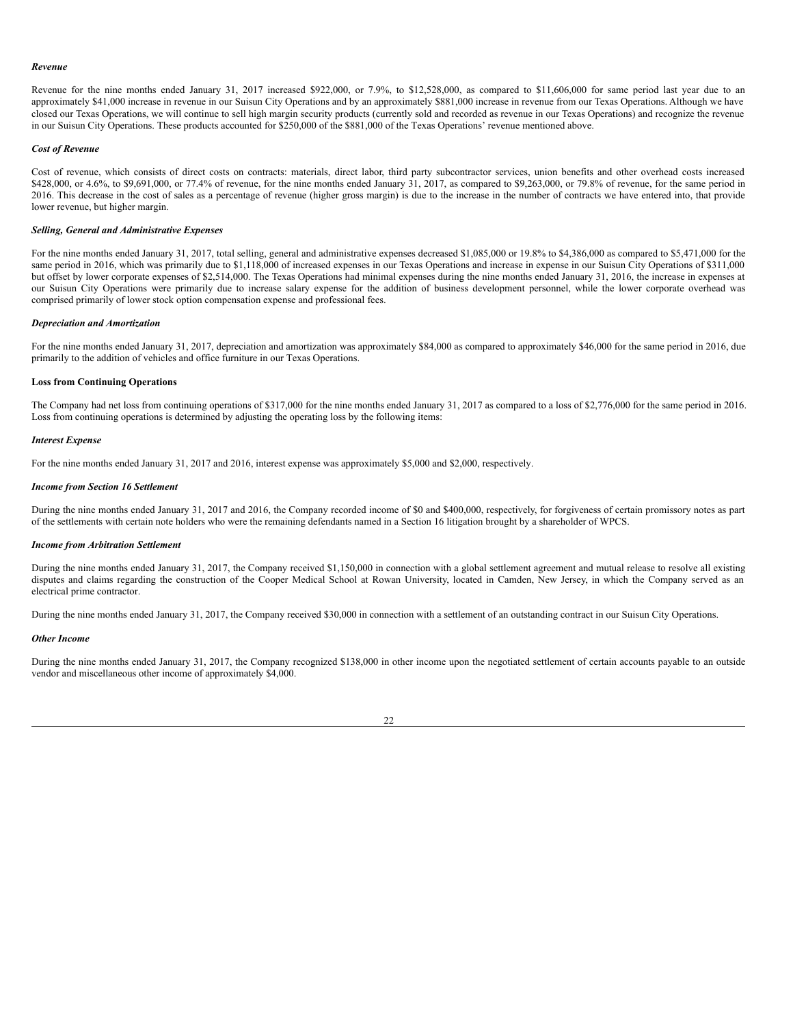#### *Revenue*

Revenue for the nine months ended January 31, 2017 increased \$922,000, or 7.9%, to \$12,528,000, as compared to \$11,606,000 for same period last year due to an approximately \$41,000 increase in revenue in our Suisun City Operations and by an approximately \$881,000 increase in revenue from our Texas Operations. Although we have closed our Texas Operations, we will continue to sell high margin security products (currently sold and recorded as revenue in our Texas Operations) and recognize the revenue in our Suisun City Operations. These products accounted for \$250,000 of the \$881,000 of the Texas Operations' revenue mentioned above.

#### *Cost of Revenue*

Cost of revenue, which consists of direct costs on contracts: materials, direct labor, third party subcontractor services, union benefits and other overhead costs increased \$428,000, or 4.6%, to \$9,691,000, or 77.4% of revenue, for the nine months ended January 31, 2017, as compared to \$9,263,000, or 79.8% of revenue, for the same period in 2016. This decrease in the cost of sales as a percentage of revenue (higher gross margin) is due to the increase in the number of contracts we have entered into, that provide lower revenue, but higher margin.

# *Selling, General and Administrative Expenses*

For the nine months ended January 31, 2017, total selling, general and administrative expenses decreased \$1,085,000 or 19.8% to \$4,386,000 as compared to \$5,471,000 for the same period in 2016, which was primarily due to \$1,118,000 of increased expenses in our Texas Operations and increase in expense in our Suisun City Operations of \$311,000 but offset by lower corporate expenses of \$2,514,000. The Texas Operations had minimal expenses during the nine months ended January 31, 2016, the increase in expenses at our Suisun City Operations were primarily due to increase salary expense for the addition of business development personnel, while the lower corporate overhead was comprised primarily of lower stock option compensation expense and professional fees.

#### *Depreciation and Amortization*

For the nine months ended January 31, 2017, depreciation and amortization was approximately \$84,000 as compared to approximately \$46,000 for the same period in 2016, due primarily to the addition of vehicles and office furniture in our Texas Operations.

#### **Loss from Continuing Operations**

The Company had net loss from continuing operations of \$317,000 for the nine months ended January 31, 2017 as compared to a loss of \$2,776,000 for the same period in 2016. Loss from continuing operations is determined by adjusting the operating loss by the following items:

### *Interest Expense*

For the nine months ended January 31, 2017 and 2016, interest expense was approximately \$5,000 and \$2,000, respectively.

#### *Income from Section 16 Settlement*

During the nine months ended January 31, 2017 and 2016, the Company recorded income of \$0 and \$400,000, respectively, for forgiveness of certain promissory notes as part of the settlements with certain note holders who were the remaining defendants named in a Section 16 litigation brought by a shareholder of WPCS.

#### *Income from Arbitration Settlement*

During the nine months ended January 31, 2017, the Company received \$1,150,000 in connection with a global settlement agreement and mutual release to resolve all existing disputes and claims regarding the construction of the Cooper Medical School at Rowan University, located in Camden, New Jersey, in which the Company served as an electrical prime contractor.

During the nine months ended January 31, 2017, the Company received \$30,000 in connection with a settlement of an outstanding contract in our Suisun City Operations.

#### *Other Income*

During the nine months ended January 31, 2017, the Company recognized \$138,000 in other income upon the negotiated settlement of certain accounts payable to an outside vendor and miscellaneous other income of approximately \$4,000.

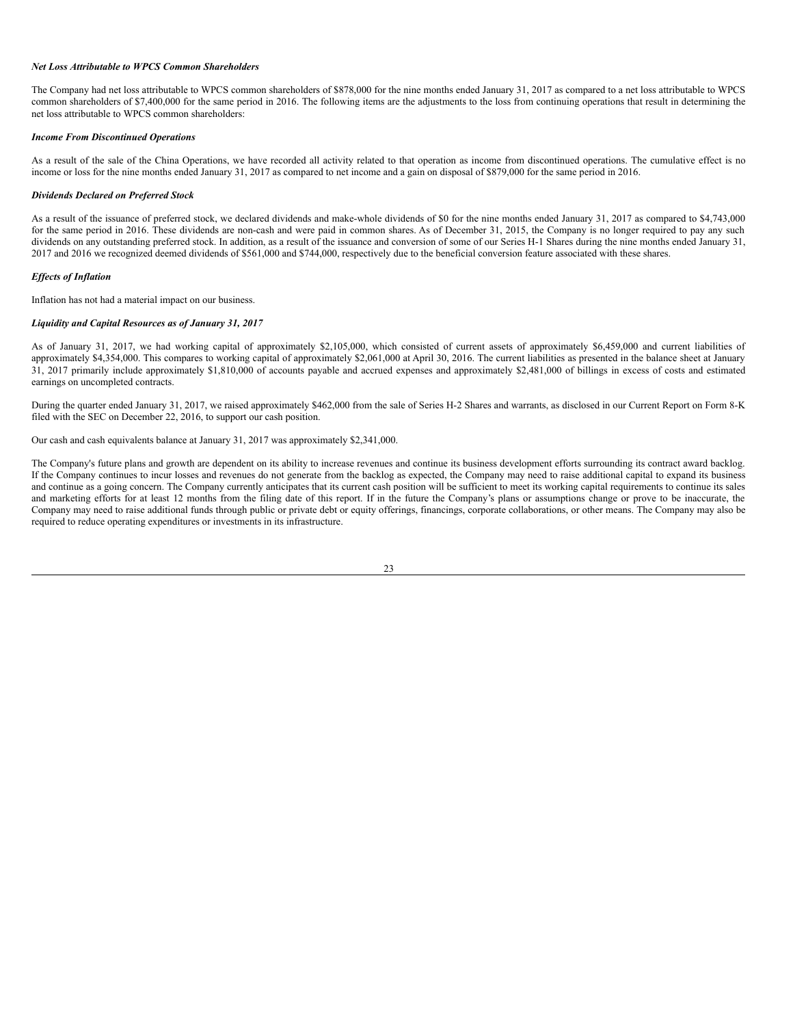#### *Net Loss Attributable to WPCS Common Shareholders*

The Company had net loss attributable to WPCS common shareholders of \$878,000 for the nine months ended January 31, 2017 as compared to a net loss attributable to WPCS common shareholders of \$7,400,000 for the same period in 2016. The following items are the adjustments to the loss from continuing operations that result in determining the net loss attributable to WPCS common shareholders:

## *Income From Discontinued Operations*

As a result of the sale of the China Operations, we have recorded all activity related to that operation as income from discontinued operations. The cumulative effect is no income or loss for the nine months ended January 31, 2017 as compared to net income and a gain on disposal of \$879,000 for the same period in 2016.

## *Dividends Declared on Preferred Stock*

As a result of the issuance of preferred stock, we declared dividends and make-whole dividends of \$0 for the nine months ended January 31, 2017 as compared to \$4,743,000 for the same period in 2016. These dividends are non-cash and were paid in common shares. As of December 31, 2015, the Company is no longer required to pay any such dividends on any outstanding preferred stock. In addition, as a result of the issuance and conversion of some of our Series H-1 Shares during the nine months ended January 31, 2017 and 2016 we recognized deemed dividends of \$561,000 and \$744,000, respectively due to the beneficial conversion feature associated with these shares.

### *Ef ects of Inflation*

Inflation has not had a material impact on our business.

### *Liquidity and Capital Resources as of January 31, 2017*

As of January 31, 2017, we had working capital of approximately \$2,105,000, which consisted of current assets of approximately \$6,459,000 and current liabilities of approximately \$4,354,000. This compares to working capital of approximately \$2,061,000 at April 30, 2016. The current liabilities as presented in the balance sheet at January 31, 2017 primarily include approximately \$1,810,000 of accounts payable and accrued expenses and approximately \$2,481,000 of billings in excess of costs and estimated earnings on uncompleted contracts.

During the quarter ended January 31, 2017, we raised approximately \$462,000 from the sale of Series H-2 Shares and warrants, as disclosed in our Current Report on Form 8-K filed with the SEC on December 22, 2016, to support our cash position.

Our cash and cash equivalents balance at January 31, 2017 was approximately \$2,341,000.

The Company's future plans and growth are dependent on its ability to increase revenues and continue its business development efforts surrounding its contract award backlog. If the Company continues to incur losses and revenues do not generate from the backlog as expected, the Company may need to raise additional capital to expand its business and continue as a going concern. The Company currently anticipates that its current cash position will be sufficient to meet its working capital requirements to continue its sales and marketing efforts for at least 12 months from the filing date of this report. If in the future the Company's plans or assumptions change or prove to be inaccurate, the Company may need to raise additional funds through public or private debt or equity offerings, financings, corporate collaborations, or other means. The Company may also be required to reduce operating expenditures or investments in its infrastructure.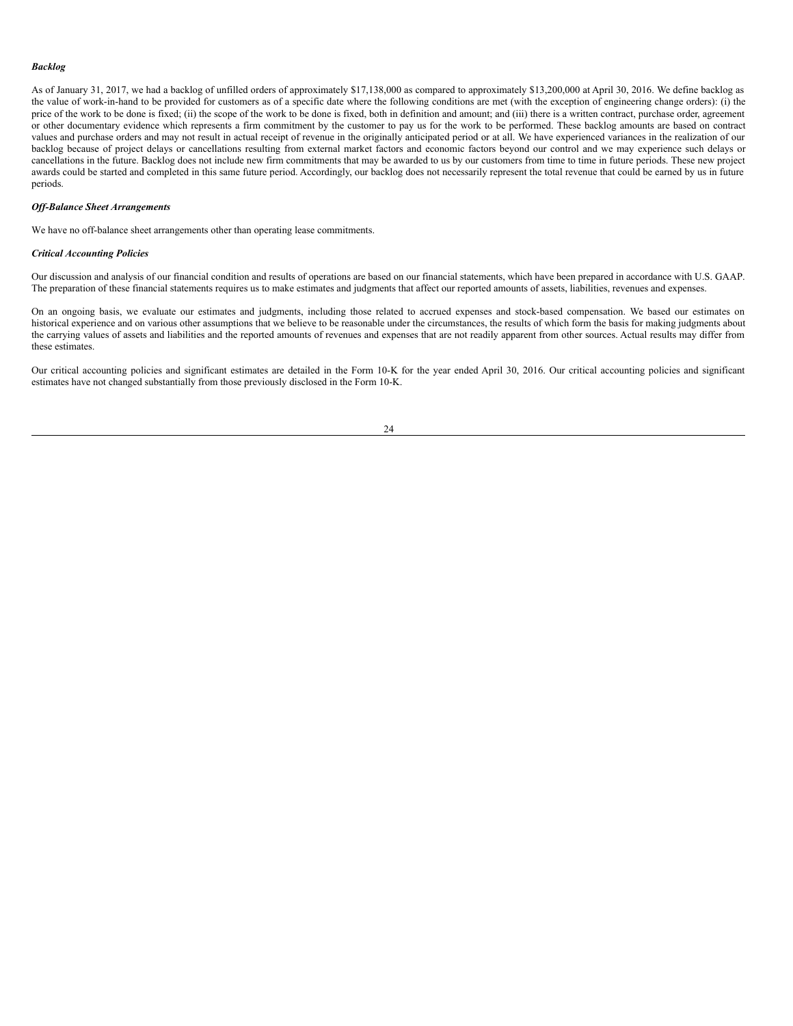#### *Backlog*

As of January 31, 2017, we had a backlog of unfilled orders of approximately \$17,138,000 as compared to approximately \$13,200,000 at April 30, 2016. We define backlog as the value of work-in-hand to be provided for customers as of a specific date where the following conditions are met (with the exception of engineering change orders): (i) the price of the work to be done is fixed; (ii) the scope of the work to be done is fixed, both in definition and amount; and (iii) there is a written contract, purchase order, agreement or other documentary evidence which represents a firm commitment by the customer to pay us for the work to be performed. These backlog amounts are based on contract values and purchase orders and may not result in actual receipt of revenue in the originally anticipated period or at all. We have experienced variances in the realization of our backlog because of project delays or cancellations resulting from external market factors and economic factors beyond our control and we may experience such delays or cancellations in the future. Backlog does not include new firm commitments that may be awarded to us by our customers from time to time in future periods. These new project awards could be started and completed in this same future period. Accordingly, our backlog does not necessarily represent the total revenue that could be earned by us in future periods.

# *Of -Balance Sheet Arrangements*

We have no off-balance sheet arrangements other than operating lease commitments.

#### *Critical Accounting Policies*

Our discussion and analysis of our financial condition and results of operations are based on our financial statements, which have been prepared in accordance with U.S. GAAP. The preparation of these financial statements requires us to make estimates and judgments that affect our reported amounts of assets, liabilities, revenues and expenses.

On an ongoing basis, we evaluate our estimates and judgments, including those related to accrued expenses and stock-based compensation. We based our estimates on historical experience and on various other assumptions that we believe to be reasonable under the circumstances, the results of which form the basis for making judgments about the carrying values of assets and liabilities and the reported amounts of revenues and expenses that are not readily apparent from other sources. Actual results may differ from these estimates.

Our critical accounting policies and significant estimates are detailed in the Form 10-K for the year ended April 30, 2016. Our critical accounting policies and significant estimates have not changed substantially from those previously disclosed in the Form 10-K.

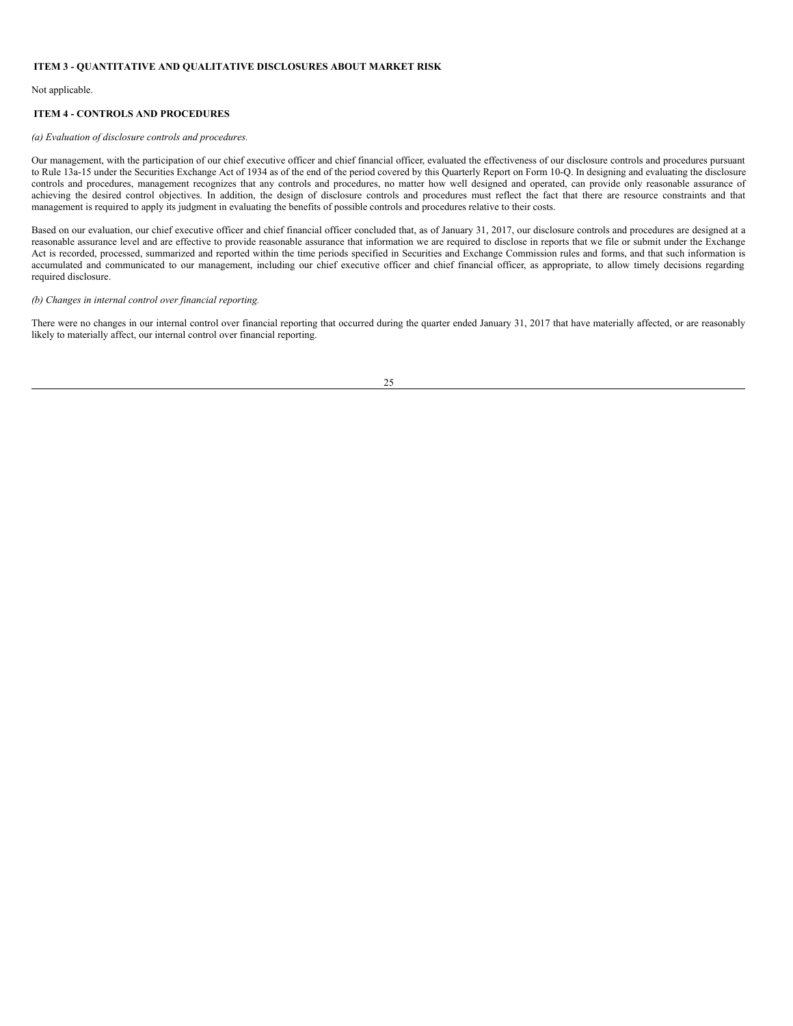# <span id="page-24-0"></span>**ITEM 3 - QUANTITATIVE AND QUALITATIVE DISCLOSURES ABOUT MARKET RISK**

Not applicable.

# <span id="page-24-1"></span>**ITEM 4 - CONTROLS AND PROCEDURES**

# *(a) Evaluation of disclosure controls and procedures.*

Our management, with the participation of our chief executive officer and chief financial officer, evaluated the effectiveness of our disclosure controls and procedures pursuant to Rule 13a-15 under the Securities Exchange Act of 1934 as of the end of the period covered by this Quarterly Report on Form 10-Q. In designing and evaluating the disclosure controls and procedures, management recognizes that any controls and procedures, no matter how well designed and operated, can provide only reasonable assurance of achieving the desired control objectives. In addition, the design of disclosure controls and procedures must reflect the fact that there are resource constraints and that management is required to apply its judgment in evaluating the benefits of possible controls and procedures relative to their costs.

Based on our evaluation, our chief executive officer and chief financial officer concluded that, as of January 31, 2017, our disclosure controls and procedures are designed at a reasonable assurance level and are effective to provide reasonable assurance that information we are required to disclose in reports that we file or submit under the Exchange Act is recorded, processed, summarized and reported within the time periods specified in Securities and Exchange Commission rules and forms, and that such information is accumulated and communicated to our management, including our chief executive officer and chief financial officer, as appropriate, to allow timely decisions regarding required disclosure.

#### *(b) Changes in internal control over financial reporting.*

There were no changes in our internal control over financial reporting that occurred during the quarter ended January 31, 2017 that have materially affected, or are reasonably likely to materially affect, our internal control over financial reporting.

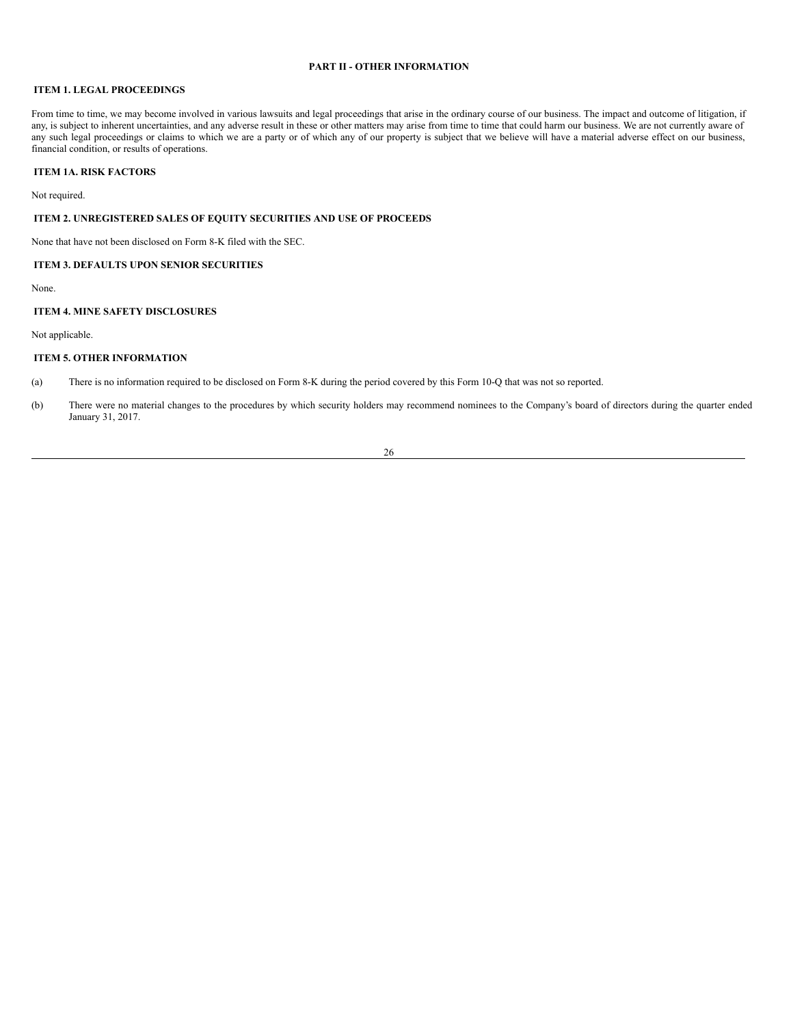# **PART II - OTHER INFORMATION**

# **ITEM 1. LEGAL PROCEEDINGS**

From time to time, we may become involved in various lawsuits and legal proceedings that arise in the ordinary course of our business. The impact and outcome of litigation, if any, is subject to inherent uncertainties, and any adverse result in these or other matters may arise from time to time that could harm our business. We are not currently aware of any such legal proceedings or claims to which we are a party or of which any of our property is subject that we believe will have a material adverse effect on our business, financial condition, or results of operations.

# <span id="page-25-0"></span>**ITEM 1A. RISK FACTORS**

Not required.

# <span id="page-25-1"></span>**ITEM 2. UNREGISTERED SALES OF EQUITY SECURITIES AND USE OF PROCEEDS**

None that have not been disclosed on Form 8-K filed with the SEC.

# <span id="page-25-2"></span>**ITEM 3. DEFAULTS UPON SENIOR SECURITIES**

None.

# <span id="page-25-3"></span>**ITEM 4. MINE SAFETY DISCLOSURES**

Not applicable.

# <span id="page-25-4"></span>**ITEM 5. OTHER INFORMATION**

(a) There is no information required to be disclosed on Form 8-K during the period covered by this Form 10-Q that was not so reported.

(b) There were no material changes to the procedures by which security holders may recommend nominees to the Company's board of directors during the quarter ended January 31, 2017.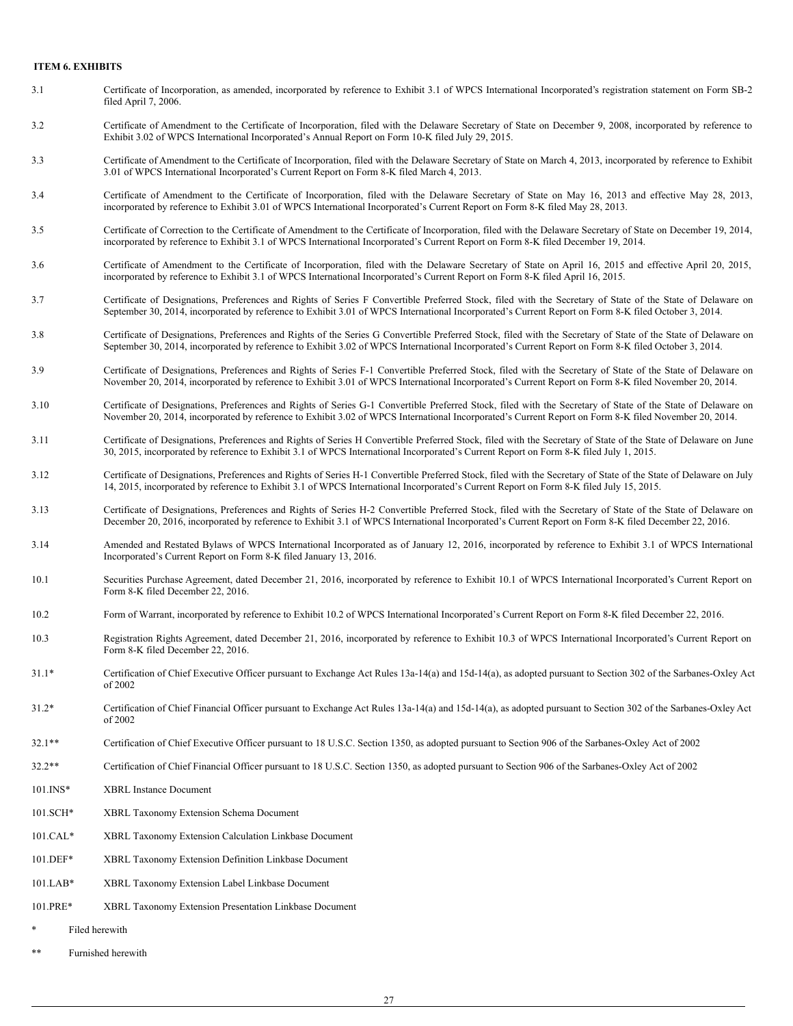# <span id="page-26-0"></span>**ITEM 6. EXHIBITS**

- 3.1 Certificate of Incorporation, as amended, incorporated by reference to Exhibit 3.1 of WPCS International Incorporated's registration statement on Form SB-2 filed April 7, 2006.
- 3.2 Certificate of Amendment to the Certificate of Incorporation, filed with the Delaware Secretary of State on December 9, 2008, incorporated by reference to Exhibit 3.02 of WPCS International Incorporated's Annual Report on Form 10-K filed July 29, 2015.
- 3.3 Certificate of Amendment to the Certificate of Incorporation, filed with the Delaware Secretary of State on March 4, 2013, incorporated by reference to Exhibit 3.01 of WPCS International Incorporated's Current Report on Form 8-K filed March 4, 2013.
- 3.4 Certificate of Amendment to the Certificate of Incorporation, filed with the Delaware Secretary of State on May 16, 2013 and effective May 28, 2013, incorporated by reference to Exhibit 3.01 of WPCS International Incorporated's Current Report on Form 8-K filed May 28, 2013.
- 3.5 Certificate of Correction to the Certificate of Amendment to the Certificate of Incorporation, filed with the Delaware Secretary of State on December 19, 2014, incorporated by reference to Exhibit 3.1 of WPCS International Incorporated's Current Report on Form 8-K filed December 19, 2014.
- 3.6 Certificate of Amendment to the Certificate of Incorporation, filed with the Delaware Secretary of State on April 16, 2015 and effective April 20, 2015, incorporated by reference to Exhibit 3.1 of WPCS International Incorporated's Current Report on Form 8-K filed April 16, 2015.
- 3.7 Certificate of Designations, Preferences and Rights of Series F Convertible Preferred Stock, filed with the Secretary of State of the State of Delaware on September 30, 2014, incorporated by reference to Exhibit 3.01 of WPCS International Incorporated's Current Report on Form 8-K filed October 3, 2014.
- 3.8 Certificate of Designations, Preferences and Rights of the Series G Convertible Preferred Stock, filed with the Secretary of State of the State of Delaware on September 30, 2014, incorporated by reference to Exhibit 3.02 of WPCS International Incorporated's Current Report on Form 8-K filed October 3, 2014.
- 3.9 Certificate of Designations, Preferences and Rights of Series F-1 Convertible Preferred Stock, filed with the Secretary of State of the State of Delaware on November 20, 2014, incorporated by reference to Exhibit 3.01 of WPCS International Incorporated's Current Report on Form 8-K filed November 20, 2014.
- 3.10 Certificate of Designations, Preferences and Rights of Series G-1 Convertible Preferred Stock, filed with the Secretary of State of the State of Delaware on November 20, 2014, incorporated by reference to Exhibit 3.02 of WPCS International Incorporated's Current Report on Form 8-K filed November 20, 2014.
- 3.11 Certificate of Designations, Preferences and Rights of Series H Convertible Preferred Stock, filed with the Secretary of State of the State of Delaware on June 30, 2015, incorporated by reference to Exhibit 3.1 of WPCS International Incorporated's Current Report on Form 8-K filed July 1, 2015.
- 3.12 Certificate of Designations, Preferences and Rights of Series H-1 Convertible Preferred Stock, filed with the Secretary of State of the State of Delaware on July 14, 2015, incorporated by reference to Exhibit 3.1 of WPCS International Incorporated's Current Report on Form 8-K filed July 15, 2015.
- 3.13 Certificate of Designations, Preferences and Rights of Series H-2 Convertible Preferred Stock, filed with the Secretary of State of the State of Delaware on December 20, 2016, incorporated by reference to Exhibit 3.1 of WPCS International Incorporated's Current Report on Form 8-K filed December 22, 2016.
- 3.14 Amended and Restated Bylaws of WPCS International Incorporated as of January 12, 2016, incorporated by reference to Exhibit 3.1 of WPCS International Incorporated's Current Report on Form 8-K filed January 13, 2016.
- 10.1 Securities Purchase Agreement, dated December 21, 2016, incorporated by reference to Exhibit 10.1 of WPCS International Incorporated's Current Report on Form 8-K filed December 22, 2016.
- 10.2 Form of Warrant, incorporated by reference to Exhibit 10.2 of WPCS International Incorporated's Current Report on Form 8-K filed December 22, 2016.
- 10.3 Registration Rights Agreement, dated December 21, 2016, incorporated by reference to Exhibit 10.3 of WPCS International Incorporated's Current Report on Form 8-K filed December 22, 2016.
- 31.1\* Certification of Chief Executive Officer pursuant to Exchange Act Rules 13a-14(a) and 15d-14(a), as adopted pursuant to Section 302 of the Sarbanes-Oxley Act of 2002
- 31.2\* Certification of Chief Financial Officer pursuant to Exchange Act Rules 13a-14(a) and 15d-14(a), as adopted pursuant to Section 302 of the Sarbanes-Oxley Act of 2002
- 32.1\*\* Certification of Chief Executive Officer pursuant to 18 U.S.C. Section 1350, as adopted pursuant to Section 906 of the Sarbanes-Oxley Act of 2002
- 32.2\*\* Certification of Chief Financial Officer pursuant to 18 U.S.C. Section 1350, as adopted pursuant to Section 906 of the Sarbanes-Oxley Act of 2002
- 101.INS\* XBRL Instance Document
- 101.SCH\* XBRL Taxonomy Extension Schema Document
- 101.CAL\* XBRL Taxonomy Extension Calculation Linkbase Document
- 101.DEF\* XBRL Taxonomy Extension Definition Linkbase Document
- 101.LAB\* XBRL Taxonomy Extension Label Linkbase Document
- 101.PRE\* XBRL Taxonomy Extension Presentation Linkbase Document
- **Filed herewith**
- Furnished herewith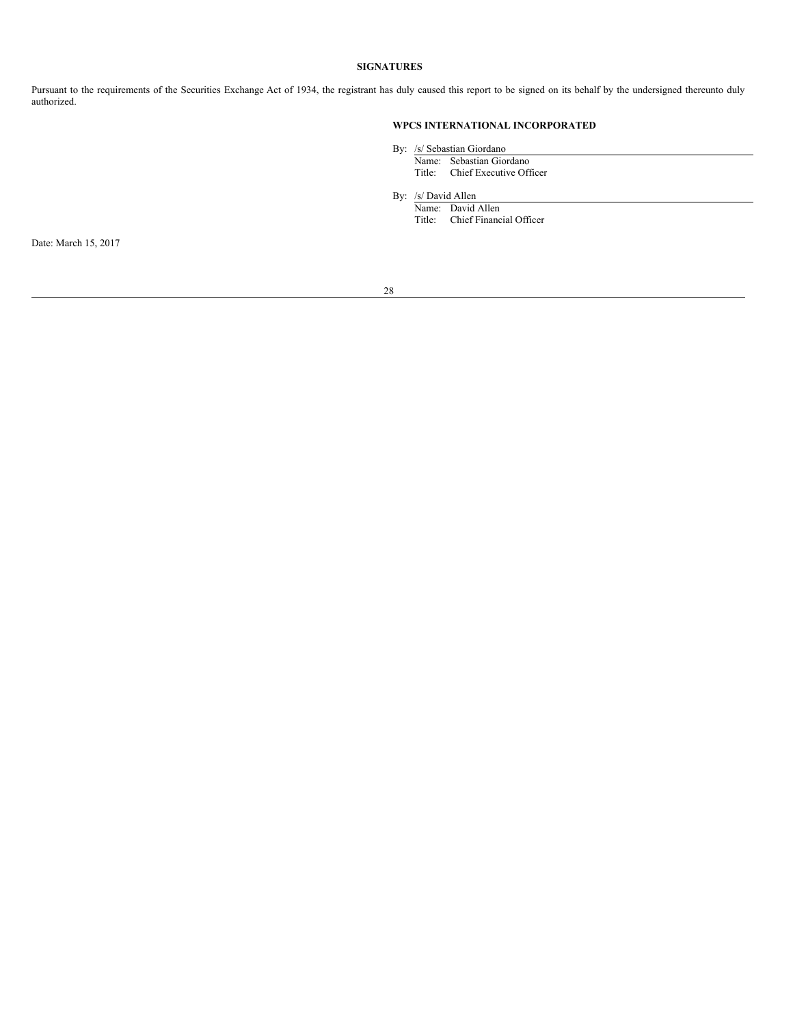# <span id="page-27-0"></span>**SIGNATURES**

Pursuant to the requirements of the Securities Exchange Act of 1934, the registrant has duly caused this report to be signed on its behalf by the undersigned thereunto duly authorized.

# **WPCS INTERNATIONAL INCORPORATED**

By: /s/ Sebastian Giordano

Name: Sebastian Giordano Title: Chief Executive Officer

By: /s/ David Allen

Name: David Allen Title: Chief Financial Officer

Date: March 15, 2017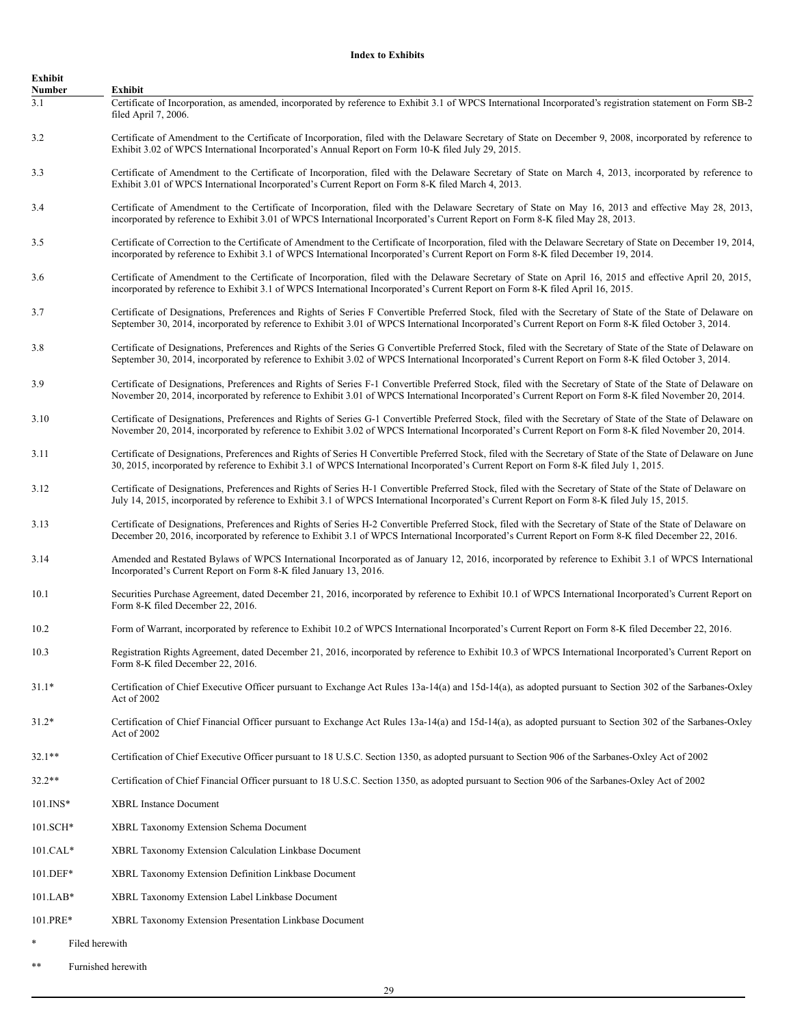# **Index to Exhibits**

| <b>Exhibit</b><br><b>Number</b> |                | Exhibit                                                                                                                                                                                                                                                                                                                |  |  |  |  |  |
|---------------------------------|----------------|------------------------------------------------------------------------------------------------------------------------------------------------------------------------------------------------------------------------------------------------------------------------------------------------------------------------|--|--|--|--|--|
| 3.1                             |                | Certificate of Incorporation, as amended, incorporated by reference to Exhibit 3.1 of WPCS International Incorporated's registration statement on Form SB-2<br>filed April 7, 2006.                                                                                                                                    |  |  |  |  |  |
| 3.2                             |                | Certificate of Amendment to the Certificate of Incorporation, filed with the Delaware Secretary of State on December 9, 2008, incorporated by reference to<br>Exhibit 3.02 of WPCS International Incorporated's Annual Report on Form 10-K filed July 29, 2015.                                                        |  |  |  |  |  |
| 3.3                             |                | Certificate of Amendment to the Certificate of Incorporation, filed with the Delaware Secretary of State on March 4, 2013, incorporated by reference to<br>Exhibit 3.01 of WPCS International Incorporated's Current Report on Form 8-K filed March 4, 2013.                                                           |  |  |  |  |  |
| 3.4                             |                | Certificate of Amendment to the Certificate of Incorporation, filed with the Delaware Secretary of State on May 16, 2013 and effective May 28, 2013,<br>incorporated by reference to Exhibit 3.01 of WPCS International Incorporated's Current Report on Form 8-K filed May 28, 2013.                                  |  |  |  |  |  |
| 3.5                             |                | Certificate of Correction to the Certificate of Amendment to the Certificate of Incorporation, filed with the Delaware Secretary of State on December 19, 2014,<br>incorporated by reference to Exhibit 3.1 of WPCS International Incorporated's Current Report on Form 8-K filed December 19, 2014.                   |  |  |  |  |  |
| 3.6                             |                | Certificate of Amendment to the Certificate of Incorporation, filed with the Delaware Secretary of State on April 16, 2015 and effective April 20, 2015,<br>incorporated by reference to Exhibit 3.1 of WPCS International Incorporated's Current Report on Form 8-K filed April 16, 2015.                             |  |  |  |  |  |
| 3.7                             |                | Certificate of Designations, Preferences and Rights of Series F Convertible Preferred Stock, filed with the Secretary of State of the State of Delaware on<br>September 30, 2014, incorporated by reference to Exhibit 3.01 of WPCS International Incorporated's Current Report on Form 8-K filed October 3, 2014.     |  |  |  |  |  |
| 3.8                             |                | Certificate of Designations, Preferences and Rights of the Series G Convertible Preferred Stock, filed with the Secretary of State of the State of Delaware on<br>September 30, 2014, incorporated by reference to Exhibit 3.02 of WPCS International Incorporated's Current Report on Form 8-K filed October 3, 2014. |  |  |  |  |  |
| 3.9                             |                | Certificate of Designations, Preferences and Rights of Series F-1 Convertible Preferred Stock, filed with the Secretary of State of the State of Delaware on<br>November 20, 2014, incorporated by reference to Exhibit 3.01 of WPCS International Incorporated's Current Report on Form 8-K filed November 20, 2014.  |  |  |  |  |  |
| 3.10                            |                | Certificate of Designations, Preferences and Rights of Series G-1 Convertible Preferred Stock, filed with the Secretary of State of the State of Delaware on<br>November 20, 2014, incorporated by reference to Exhibit 3.02 of WPCS International Incorporated's Current Report on Form 8-K filed November 20, 2014.  |  |  |  |  |  |
| 3.11                            |                | Certificate of Designations, Preferences and Rights of Series H Convertible Preferred Stock, filed with the Secretary of State of the State of Delaware on June<br>30, 2015, incorporated by reference to Exhibit 3.1 of WPCS International Incorporated's Current Report on Form 8-K filed July 1, 2015.              |  |  |  |  |  |
| 3.12                            |                | Certificate of Designations, Preferences and Rights of Series H-1 Convertible Preferred Stock, filed with the Secretary of State of the State of Delaware on<br>July 14, 2015, incorporated by reference to Exhibit 3.1 of WPCS International Incorporated's Current Report on Form 8-K filed July 15, 2015.           |  |  |  |  |  |
| 3.13                            |                | Certificate of Designations, Preferences and Rights of Series H-2 Convertible Preferred Stock, filed with the Secretary of State of the State of Delaware on<br>December 20, 2016, incorporated by reference to Exhibit 3.1 of WPCS International Incorporated's Current Report on Form 8-K filed December 22, 2016.   |  |  |  |  |  |
| 3.14                            |                | Amended and Restated Bylaws of WPCS International Incorporated as of January 12, 2016, incorporated by reference to Exhibit 3.1 of WPCS International<br>Incorporated's Current Report on Form 8-K filed January 13, 2016.                                                                                             |  |  |  |  |  |
| 10.1                            |                | Securities Purchase Agreement, dated December 21, 2016, incorporated by reference to Exhibit 10.1 of WPCS International Incorporated's Current Report on<br>Form 8-K filed December 22, 2016.                                                                                                                          |  |  |  |  |  |
| 10.2                            |                | Form of Warrant, incorporated by reference to Exhibit 10.2 of WPCS International Incorporated's Current Report on Form 8-K filed December 22, 2016.                                                                                                                                                                    |  |  |  |  |  |
| 10.3                            |                | Registration Rights Agreement, dated December 21, 2016, incorporated by reference to Exhibit 10.3 of WPCS International Incorporated's Current Report on<br>Form 8-K filed December 22, 2016.                                                                                                                          |  |  |  |  |  |
| $31.1*$                         |                | Certification of Chief Executive Officer pursuant to Exchange Act Rules 13a-14(a) and 15d-14(a), as adopted pursuant to Section 302 of the Sarbanes-Oxley<br>Act of 2002                                                                                                                                               |  |  |  |  |  |
| $31.2*$                         |                | Certification of Chief Financial Officer pursuant to Exchange Act Rules 13a-14(a) and 15d-14(a), as adopted pursuant to Section 302 of the Sarbanes-Oxley<br>Act of 2002                                                                                                                                               |  |  |  |  |  |
| $32.1**$                        |                | Certification of Chief Executive Officer pursuant to 18 U.S.C. Section 1350, as adopted pursuant to Section 906 of the Sarbanes-Oxley Act of 2002                                                                                                                                                                      |  |  |  |  |  |
| $32.2**$                        |                | Certification of Chief Financial Officer pursuant to 18 U.S.C. Section 1350, as adopted pursuant to Section 906 of the Sarbanes-Oxley Act of 2002                                                                                                                                                                      |  |  |  |  |  |
| $101$ . INS*                    |                | <b>XBRL Instance Document</b>                                                                                                                                                                                                                                                                                          |  |  |  |  |  |
| 101.SCH*                        |                | XBRL Taxonomy Extension Schema Document                                                                                                                                                                                                                                                                                |  |  |  |  |  |
| $101.CAL*$                      |                | XBRL Taxonomy Extension Calculation Linkbase Document                                                                                                                                                                                                                                                                  |  |  |  |  |  |
| 101.DEF*                        |                | XBRL Taxonomy Extension Definition Linkbase Document                                                                                                                                                                                                                                                                   |  |  |  |  |  |
| $101.LAB*$                      |                | XBRL Taxonomy Extension Label Linkbase Document                                                                                                                                                                                                                                                                        |  |  |  |  |  |
| 101.PRE*                        |                | XBRL Taxonomy Extension Presentation Linkbase Document                                                                                                                                                                                                                                                                 |  |  |  |  |  |
| *                               | Filed herewith |                                                                                                                                                                                                                                                                                                                        |  |  |  |  |  |
| **                              |                | Furnished herewith                                                                                                                                                                                                                                                                                                     |  |  |  |  |  |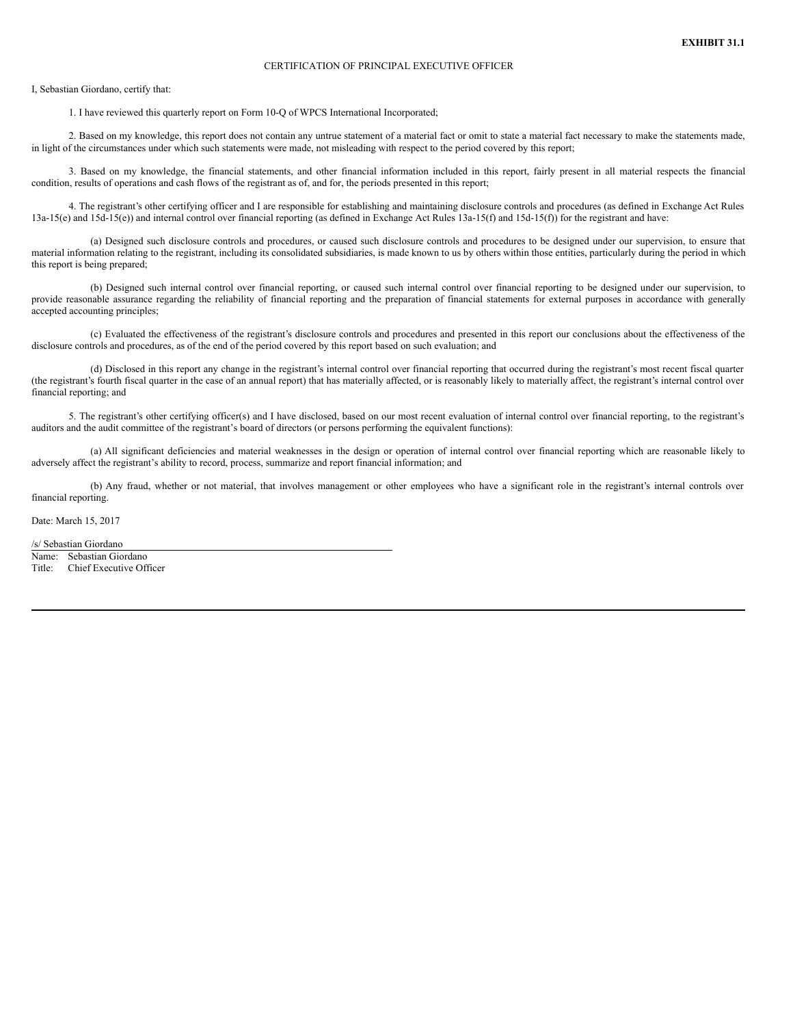# CERTIFICATION OF PRINCIPAL EXECUTIVE OFFICER

I, Sebastian Giordano, certify that:

1. I have reviewed this quarterly report on Form 10-Q of WPCS International Incorporated;

2. Based on my knowledge, this report does not contain any untrue statement of a material fact or omit to state a material fact necessary to make the statements made, in light of the circumstances under which such statements were made, not misleading with respect to the period covered by this report;

3. Based on my knowledge, the financial statements, and other financial information included in this report, fairly present in all material respects the financial condition, results of operations and cash flows of the registrant as of, and for, the periods presented in this report;

4. The registrant's other certifying officer and I are responsible for establishing and maintaining disclosure controls and procedures (as defined in Exchange Act Rules 13a-15(e) and 15d-15(e)) and internal control over financial reporting (as defined in Exchange Act Rules 13a-15(f) and 15d-15(f)) for the registrant and have:

(a) Designed such disclosure controls and procedures, or caused such disclosure controls and procedures to be designed under our supervision, to ensure that material information relating to the registrant, including its consolidated subsidiaries, is made known to us by others within those entities, particularly during the period in which this report is being prepared;

(b) Designed such internal control over financial reporting, or caused such internal control over financial reporting to be designed under our supervision, to provide reasonable assurance regarding the reliability of financial reporting and the preparation of financial statements for external purposes in accordance with generally accepted accounting principles;

(c) Evaluated the effectiveness of the registrant's disclosure controls and procedures and presented in this report our conclusions about the effectiveness of the disclosure controls and procedures, as of the end of the period covered by this report based on such evaluation; and

(d) Disclosed in this report any change in the registrant's internal control over financial reporting that occurred during the registrant's most recent fiscal quarter (the registrant's fourth fiscal quarter in the case of an annual report) that has materially affected, or is reasonably likely to materially affect, the registrant's internal control over financial reporting; and

5. The registrant's other certifying officer(s) and I have disclosed, based on our most recent evaluation of internal control over financial reporting, to the registrant's auditors and the audit committee of the registrant's board of directors (or persons performing the equivalent functions):

(a) All significant deficiencies and material weaknesses in the design or operation of internal control over financial reporting which are reasonable likely to adversely affect the registrant's ability to record, process, summarize and report financial information; and

(b) Any fraud, whether or not material, that involves management or other employees who have a significant role in the registrant's internal controls over financial reporting.

Date: March 15, 2017

/s/ Sebastian Giordano Name: Sebastian Giordano<br>Title: Chief Executive Off Chief Executive Officer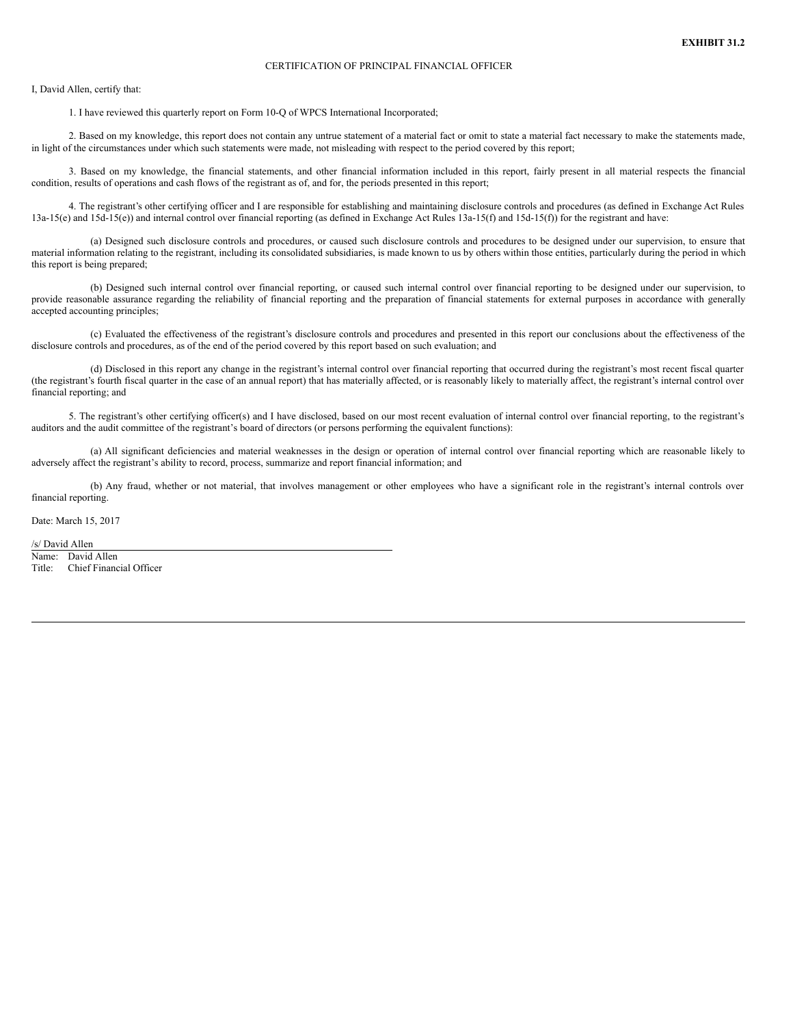# CERTIFICATION OF PRINCIPAL FINANCIAL OFFICER

I, David Allen, certify that:

1. I have reviewed this quarterly report on Form 10-Q of WPCS International Incorporated;

2. Based on my knowledge, this report does not contain any untrue statement of a material fact or omit to state a material fact necessary to make the statements made, in light of the circumstances under which such statements were made, not misleading with respect to the period covered by this report;

3. Based on my knowledge, the financial statements, and other financial information included in this report, fairly present in all material respects the financial condition, results of operations and cash flows of the registrant as of, and for, the periods presented in this report;

4. The registrant's other certifying officer and I are responsible for establishing and maintaining disclosure controls and procedures (as defined in Exchange Act Rules 13a-15(e) and 15d-15(e)) and internal control over financial reporting (as defined in Exchange Act Rules 13a-15(f) and 15d-15(f)) for the registrant and have:

(a) Designed such disclosure controls and procedures, or caused such disclosure controls and procedures to be designed under our supervision, to ensure that material information relating to the registrant, including its consolidated subsidiaries, is made known to us by others within those entities, particularly during the period in which this report is being prepared;

(b) Designed such internal control over financial reporting, or caused such internal control over financial reporting to be designed under our supervision, to provide reasonable assurance regarding the reliability of financial reporting and the preparation of financial statements for external purposes in accordance with generally accepted accounting principles;

(c) Evaluated the effectiveness of the registrant's disclosure controls and procedures and presented in this report our conclusions about the effectiveness of the disclosure controls and procedures, as of the end of the period covered by this report based on such evaluation; and

(d) Disclosed in this report any change in the registrant's internal control over financial reporting that occurred during the registrant's most recent fiscal quarter (the registrant's fourth fiscal quarter in the case of an annual report) that has materially affected, or is reasonably likely to materially affect, the registrant's internal control over financial reporting; and

5. The registrant's other certifying officer(s) and I have disclosed, based on our most recent evaluation of internal control over financial reporting, to the registrant's auditors and the audit committee of the registrant's board of directors (or persons performing the equivalent functions):

(a) All significant deficiencies and material weaknesses in the design or operation of internal control over financial reporting which are reasonable likely to adversely affect the registrant's ability to record, process, summarize and report financial information; and

(b) Any fraud, whether or not material, that involves management or other employees who have a significant role in the registrant's internal controls over financial reporting.

Date: March 15, 2017

/s/ David Allen Name: David Allen<br>Title: Chief Financ Chief Financial Officer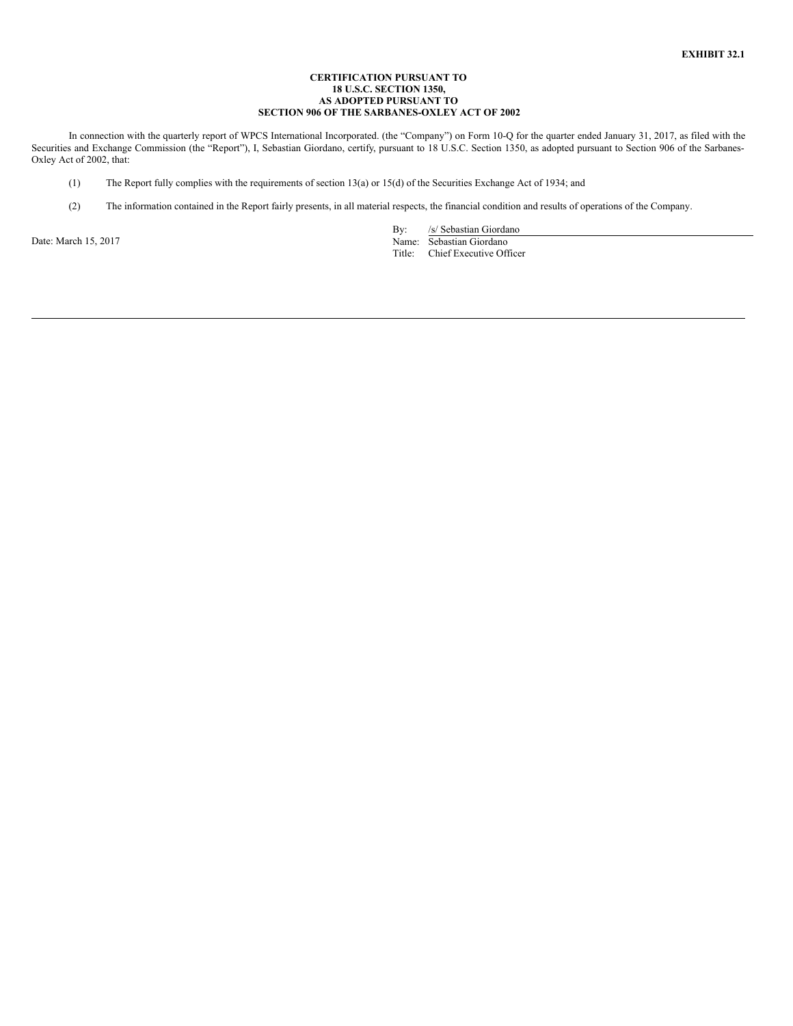## **CERTIFICATION PURSUANT TO 18 U.S.C. SECTION 1350, AS ADOPTED PURSUANT TO SECTION 906 OF THE SARBANES-OXLEY ACT OF 2002**

In connection with the quarterly report of WPCS International Incorporated. (the "Company") on Form 10-Q for the quarter ended January 31, 2017, as filed with the Securities and Exchange Commission (the "Report"), I, Sebastian Giordano, certify, pursuant to 18 U.S.C. Section 1350, as adopted pursuant to Section 906 of the Sarbanes-Oxley Act of 2002, that:

- (1) The Report fully complies with the requirements of section 13(a) or 15(d) of the Securities Exchange Act of 1934; and
- (2) The information contained in the Report fairly presents, in all material respects, the financial condition and results of operations of the Company.

By: /s/ Sebastian Giordano Date: March 15, 2017 Name: Sebastian Giordano Title: Chief Executive Officer